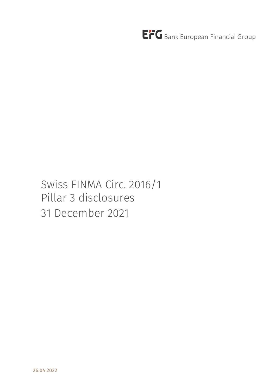EFG Bank European Financial Group

# Swiss FINMA Circ. 2016/1 Pillar 3 disclosures 31 December 2021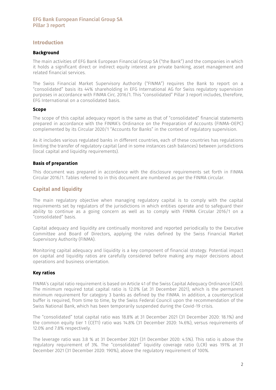### **Introduction**

#### Background

 The main activities of EFG Bank European Financial Group SA ("the Bank") and the companies in which it holds a significant direct or indirect equity interest are private banking, asset management and related financial services.

The Swiss Financial Market Supervisory Authority ("FINMA") requires the Bank to report on a "consolidated" basis its 44% shareholding in EFG International AG for Swiss regulatory supervision purposes in accordance with FINMA Circ. 2016/1. This "consolidated" Pillar 3 report includes, therefore, EFG International on a consolidated basis.

#### Scope

The scope of this capital adequacy report is the same as that of "consolidated" financial statements prepared in accordance with the FINMA's Ordinance on the Preparation of Accounts (FINMA-OEPC) complemented by its Circular 2020/1 "Accounts for Banks" in the context of regulatory supervision.

As it includes various regulated banks in different countries, each of these countries has regulations limiting the transfer of regulatory capital (and in some instances cash balances) between jurisdictions (local capital and liquidity requirements).

#### Basis of preparation

This document was prepared in accordance with the disclosure requirements set forth in FINMA Circular 2016/1. Tables referred to in this document are numbered as per the FINMA circular.

### Capital and liquidity

The main regulatory objective when managing regulatory capital is to comply with the capital requirements set by regulators of the jurisdictions in which entities operate and to safeguard their ability to continue as a going concern as well as to comply with FINMA Circular 2016/1 on a "consolidated" basis.

Capital adequacy and liquidity are continually monitored and reported periodically to the Executive Committee and Board of Directors, applying the rules defined by the Swiss Financial Market Supervisory Authority (FINMA).

Monitoring capital adequacy and liquidity is a key component of financial strategy. Potential impact on capital and liquidity ratios are carefully considered before making any major decisions about operations and business orientation.

### Key ratios

FINMA's capital ratio requirement is based on Article 41 of the Swiss Capital Adequacy Ordinance (CAO). The minimum required total capital ratio is 12.0% (at 31 December 2021), which is the permanent minimum requirement for category 3 banks as defined by the FINMA. In addition, a countercyclical buffer is required, from time to time, by the Swiss Federal Council upon the recommendation of the Swiss National Bank, which has been temporarily suspended during the Covid-19 crisis.

The "consolidated" total capital ratio was 18.8% at 31 December 2021 (31 December 2020: 18.1%) and the common equity tier 1 (CET1) ratio was 14.8% (31 December 2020: 14.6%), versus requirements of 12.0% and 7.8% respectively.

The leverage ratio was 3.8 % at 31 December 2021 (31 December 2020: 4.5%). This ratio is above the regulatory requirement of 3%. The "consolidated" liquidity coverage ratio (LCR) was 191% at 31 December 2021 (31 December 2020: 190%), above the regulatory requirement of 100%.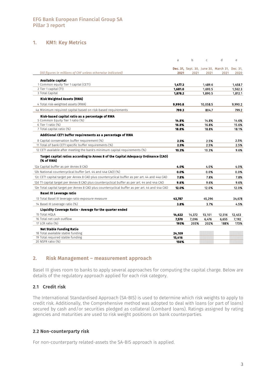### 1. KM1: Key Metrics

|                                                                                                  | a                | b      | $\mathsf{C}$   | d                                              | e       |
|--------------------------------------------------------------------------------------------------|------------------|--------|----------------|------------------------------------------------|---------|
|                                                                                                  |                  |        |                | Dec. 31, Sept. 30, June 30, March 31, Dec. 31, |         |
| (All figures in millions of CHF unless otherwise indicated)                                      | 2021             | 2021   | 2021           | 2021                                           | 2020    |
| Available capital                                                                                |                  |        |                |                                                |         |
| 1 Common equity Tier 1 capital (CET1)                                                            | 1.477.3          |        | 1.489.6        |                                                | 1.458.7 |
| 2 Tier 1 capital (T1)                                                                            | 1,681.0          |        | 1,693.5        |                                                | 1.562.3 |
| 3 Total Capital                                                                                  | 1,878.2          |        | 1.890.5        |                                                | 1,812.1 |
| <b>Risk Weighted Assets (RWA)</b>                                                                |                  |        |                |                                                |         |
| 4 Total risk-weighted assets (RWA)                                                               | 9,990.8          |        | 10,058.5       |                                                | 9,990.2 |
| 4a Minimum required capital based on risk-based requirements                                     | 799.3            |        | 804.7          |                                                | 799.2   |
| Risk-based capital ratio as a percentage of RWA                                                  |                  |        |                |                                                |         |
| 5 Common Equity Tier 1 ratio (%)                                                                 | 14.8%            |        | 14.8%          |                                                | 14.6%   |
| 6 Tier 1 ratio (%)<br>7 Total capital ratio (%)                                                  | 16.8%<br>18.8%   |        | 16.8%<br>18.8% |                                                | 15.6%   |
|                                                                                                  |                  |        |                |                                                | 18.1%   |
| Additional CET1 buffer requirements as a percentage of RWA                                       |                  |        |                |                                                |         |
| 8 Capital conservation buffer requirement (%)                                                    | 2.5%             |        | 2.5%           |                                                | 2.5%    |
| 11 Total of bank CET1 specific buffer requirements (%)                                           | 2.5%             |        | 2.5%           |                                                | 2.5%    |
| 12 CET1 available after meeting the bank's minimum capital requirements (%)                      | 10.3%            |        | 10.3%          |                                                | 9.6%    |
| Target capital ratios according to Annex 8 of the Capital Adequacy Ordinance (CAO)<br>(% of RWA) |                  |        |                |                                                |         |
| 12a Capital buffer as per Annex 8 CAO                                                            | 4.0%             |        | 4.0%           |                                                | 4.0%    |
| 12b National countercyclical buffer (art. 44 and 44a CAO) (%)                                    | 0.0%             |        | 0.0%           |                                                | 0.0%    |
| 12c CET1 capital target per Annex 8 CAO plus countercyclical buffer as per art. 44 and 44a CAO   | 7.8%             |        | 7.8%           |                                                | 7.8%    |
| 12d T1 capital target per Annex 8 CAO plus countercyclical buffer as per art. 44 and 44a CAO     | 9.6%             |        | 9.6%           |                                                | 9.6%    |
| 12e Total capital target per Annex 8 CAO plus countercyclical buffer as per art. 44 and 44a CAO  | 12.0%            |        | 12.0%          |                                                | 12.0%   |
| <b>Basel III Leverage ratio</b>                                                                  |                  |        |                |                                                |         |
| 13 Total Basel III leverage ratio exposure measure                                               | 43,787           |        | 45.296         |                                                | 34,678  |
| 14 Basel III Leverage ratio (%)                                                                  | 3.8%             |        | 3.7%           |                                                | 4.5%    |
| Liquidity Coverage Ratio - Average for the quarter ended                                         |                  |        |                |                                                |         |
| 15 Total HOLA                                                                                    | 14,622           | 14,372 | 13,101         | 12,516                                         | 12,453  |
| 16 Total net cash outflow                                                                        | 7,570            | 7,096  | 6,476          | 6,655                                          | 7,192   |
| 17 LCR ratio (%)                                                                                 | 193%             | 203%   | 202%           | 188%                                           | 173%    |
| <b>Net Stable Funding Ratio</b>                                                                  |                  |        |                |                                                |         |
| 18 Total available stable funding<br>19 Total required stable funding                            | 24,109<br>15,416 |        |                |                                                |         |
| 20 NSFR ratio (%)                                                                                | 156%             |        |                |                                                |         |

### 2. Risk Management – measurement approach

Basel III gives room to banks to apply several approaches for computing the capital charge. Below are details of the regulatory approach applied for each risk category.

### 2.1 Credit risk

The International Standardised Approach (SA-BIS) is used to determine which risk weights to apply to credit risk. Additionally, the Comprehensive method was adopted to deal with loans (or part of loans) secured by cash and/or securities pledged as collateral (Lombard loans). Ratings assigned by rating agencies and maturities are used to risk weight positions on bank counterparties.

#### 2.2 Non-counterparty risk

For non-counterparty related-assets the SA-BIS approach is applied.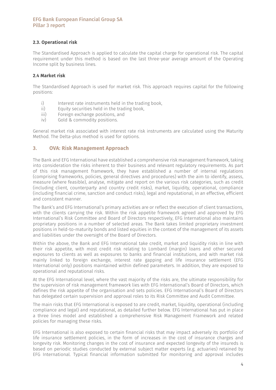### 2.3. Operational risk

The Standardised Approach is applied to calculate the capital charge for operational risk. The capital requirement under this method is based on the last three-year average amount of the Operating Income split by business lines.

### 2.4 Market risk

The Standardised Approach is used for market risk. This approach requires capital for the following positions:

- i) Interest rate instruments held in the trading book,<br>ii) Equity securities held in the trading book,
- Equity securities held in the trading book,
- iii) Foreign exchange positions, and<br>iv) Gold & commodity positions.
- Gold & commodity positions.

General market risk associated with interest rate risk instruments are calculated using the Maturity Method. The Delta-plus method is used for options.

### 3. OVA: Risk Management Approach

The Bank and EFG International have established a comprehensive risk management framework, taking into consideration the risks inherent to their business and relevant regulatory requirements. As part of this risk management framework, they have established a number of internal regulations (comprising frameworks, policies, general directives and procedures) with the aim to identify, assess, measure (where feasible), analyse, mitigate and report on the various risk categories, such as credit (including client, counterparty and country credit risks), market, liquidity, operational, compliance (including financial crime, sanction and conduct risks), legal and reputational, in an effective, efficient and consistent manner.

The Bank's and EFG International's primary activities are or reflect the execution of client transactions, with the clients carrying the risk. Within the risk appetite framework agreed and approved by EFG International's Risk Committee and Board of Directors respectively, EFG International also maintains proprietary positions in a number of selected areas. The Bank takes limited proprietary investment positions in held-to-maturity bonds and listed equities in the context of the management of its assets and liabilities under the oversight of the Board of Directors.

Within the above, the Bank and EFG International take credit, market and liquidity risks in line with their risk appetite, with most credit risk relating to Lombard (margin) loans and other secured exposures to clients as well as exposures to banks and financial institutions, and with market risk mainly linked to foreign exchange, interest rate gapping and life insurance settlement (EFG International only) positions maintained within defined parameters. In addition, they are exposed to operational and reputational risks.

At the EFG International level, where the vast majority of the risks are, the ultimate responsibility for the supervision of risk management framework lies with EFG International's Board of Directors, which defines the risk appetite of the organisation and sets policies. EFG International's Board of Directors has delegated certain supervision and approval roles to its Risk Committee and Audit Committee.

The main risks that EFG International is exposed to are credit, market, liquidity, operational (including compliance and legal) and reputational, as detailed further below. EFG International has put in place a three lines model and established a comprehensive Risk Management Framework and related policies for managing these risks.

EFG International is also exposed to certain financial risks that may impact adversely its portfolio of life insurance settlement policies, in the form of increases in the cost of insurance charges and longevity risk. Monitoring changes in the cost of insurance and expected longevity of the insureds is based on periodic studies conducted by external subject matter experts (e.g. actuaries) retained by EFG International. Typical financial information submitted for monitoring and approval includes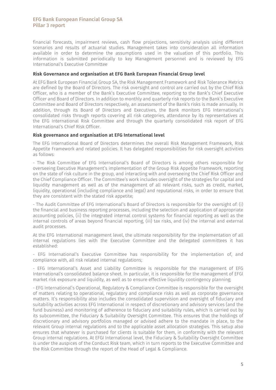financial forecasts, impairment reviews, cash flow projections, sensitivity analysis using different scenarios and results of actuarial studies. Management takes into consideration all information available in order to determine the assumptions used in the valuation of this portfolio. This information is submitted periodically to key Management personnel and is reviewed by EFG International's Executive Committee

#### Risk Governance and organisation at EFG Bank European Financial Group level

At EFG Bank European Financial Group SA, the Risk Management Framework and Risk Tolerance Metrics are defined by the Board of Directors. The risk oversight and control are carried out by the Chief Risk Officer, who is a member of the Bank's Executive Committee, reporting to the Bank's Chief Executive Officer and Board of Directors. In addition to monthly and quarterly risk reports to the Bank's Executive Committee and Board of Directors respectively, an assessment of the Bank's risks is made annually. In addition, through its Board of Directors and Executives, the Bank monitors EFG International's consolidated risks through reports covering all risk categories, attendance by its representatives at the EFG International Risk Committee and through the quarterly consolidated risk report of EFG International's Chief Risk Officer.

#### Risk governance and organisation at EFG International level

The EFG International Board of Directors determines the overall Risk Management Framework, Risk Appetite Framework and related policies. It has delegated responsibilities for risk oversight activities as follows:

- The Risk Committee of EFG International's Board of Directors is among others responsible for overseeing Executive Management's implementation of the Group Risk Appetite Framework, reporting on the state of risk culture in the group, and interacting with and overseeing the Chief Risk Officer and the Chief Compliance Officer. The Committee's work includes oversight of the strategies for capital and liquidity management as well as of the management of all relevant risks, such as credit, market, liquidity, operational (including compliance and legal) and reputational risks, in order to ensure that they are consistent with the stated risk appetite;

- The Audit Committee of EFG International's Board of Directors is responsible for the oversight of: (i) the financial and business reporting processes, including the selection and application of appropriate accounting policies, (ii) the integrated internal control systems for financial reporting as well as the internal controls of areas beyond financial reporting, (iii) tax risks, and (iv) the internal and external audit processes.

At the EFG International management level, the ultimate responsibility for the implementation of all internal regulations lies with the Executive Committee and the delegated committees it has established:

- EFG International's Executive Committee has responsibility for the implementation of, and compliance with, all risk related internal regulations;

- EFG International's Asset and Liability Committee is responsible for the management of EFG International's consolidated balance sheet. In particular, it is responsible for the management of EFGI market risk exposure and liquidity, as well as to ensure effective liquidity contingency planning;

- EFG International's Operational, Regulatory & Compliance Committee is responsible for the oversight of matters relating to operational, regulatory and compliance risks as well as corporate governance matters. It's responsibility also includes the consolidated supervision and oversight of fiduciary and suitability activities across EFG International in respect of discretionary and advisory services (and the fund business) and monitoring of adherence to fiduciary and suitability rules, which is carried out by its subcommittee, the Fiduciary & Suitability Oversight Committee. This ensures that the holdings of discretionary and advisory portfolios managed or advised adhere to the mandate in place, to the relevant Group internal regulations and to the applicable asset allocation strategies. This setup also ensures that whatever is purchased for clients is suitable for them, in conformity with the relevant Group internal regulations. At EFGI International level, the Fiduciary & Suitability Oversight Committee is under the auspices of the Conduct Risk team, which in turn reports to the Executive Committee and the Risk Committee through the report of the Head of Legal & Compliance.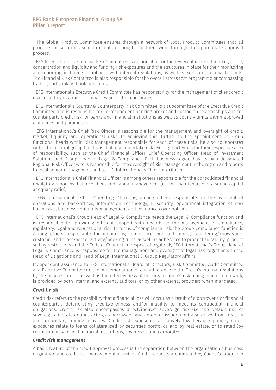- The Global Product Committee ensures through a network of Local Product Committees that all products or securities sold to clients or bought for them went through the appropriate approval process;

- EFG International's Financial Risk Committee is responsible for the review of incurred market, credit, concentration and liquidity and funding risk exposures and the structures in place for their monitoring and reporting, including compliance with internal regulations, as well as exposures relative to limits. The Financial Risk Committee is also responsible for the overall stress test programme encompassing trading and banking book portfolios;

- EFG International's Executive Credit Committee has responsibility for the management of client credit risk, including insurance companies and other corporates;

- EFG International's Country & Counterparty Risk Committee is a subcommittee of the Executive Credit Committee and is responsible for correspondent banking broker and custodian relationships and for counterparty credit risk for banks and financial institutions as well as country limits within approved guidelines and parameters;

- EFG International's Chief Risk Officer is responsible for the management and oversight of credit, market, liquidity and operational risks. In achieving this, further to the appointment of Group functional heads within Risk Management responsible for each of these risks, he also collaborates with other central group functions that also undertake risk oversight activities for their respective area of responsibility, such as the Chief Financial Officer, Chief Operating Officer, Head of Investment Solutions and Group Head of Legal & Compliance. Each business region has its own designated Regional Risk Officer who is responsible for the oversight of Risk Management in the region and reports to local senior management and to EFG International's Chief Risk Officer;

- EFG International's Chief Financial Officer is among others responsible for the consolidated financial regulatory reporting, balance sheet and capital management (i.e. the maintenance of a sound capital adequacy ratio);

- EFG International's Chief Operating Officer is, among others responsible for the oversight of operations and back-offices, Information Technology, IT security, operational integration of new businesses, business continuity management and insurance cover policies;

- EFG International's Group Head of Legal & Compliance heads the Legal & Compliance function and is responsible for providing efficient support with regards to the management of compliance, regulatory, legal and reputational risk. In terms of compliance risk, the Group Compliance function is among others responsible for monitoring compliance with anti-money laundering/know-yourcustomer and cross-border activity/booking rules, as well as adherence to product suitability, product selling restrictions and the Code of Conduct. In respect of legal risk, EFG International's Group Head of Legal & Compliance is responsible for the management and oversight of legal risk, together with the Head of Litigations and Head of Legal International & Group Regulatory Affairs.

Independent assurance to EFG International's Board of Directors, Risk Committee, Audit Committee and Executive Committee on the implementation of and adherence to the Group's internal regulations by the business units, as well as the effectiveness of the organisation's risk management framework, is provided by both internal and external auditors, or by other external providers when mandated.

### Credit risk

Credit risk refers to the possibility that a financial loss will occur as a result of a borrower's or financial counterparty's deteriorating creditworthiness and/or inability to meet its contractual financial obligations. Credit risk also encompasses direct/indirect sovereign risk (i.e. the default risk of sovereigns or state entities acting as borrowers, guarantors or issuers) but also arises from treasury and proprietary trading activities. Credit risk exposure is relatively low because primary credit exposures relate to loans collateralised by securities portfolios and by real estate, or to rated (by credit rating agencies) financial institutions, sovereigns and corporates.

#### *Credit risk management*

A basic feature of the credit approval process is the separation between the organisation's business origination and credit risk management activities. Credit requests are initiated by Client Relationship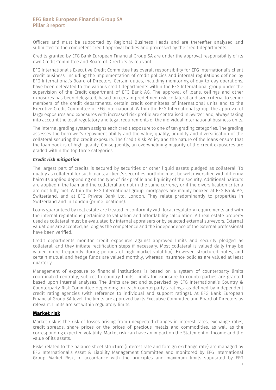Officers and must be supported by Regional Business Heads and are thereafter analysed and submitted to the competent credit approval bodies and processed by the credit departments.

Credits granted by EFG Bank European Financial Group SA are under the approval responsibility of its own Credit Committee and Board of Directors as relevant.

EFG International's Executive Credit Committee has overall responsibility for EFG International's client credit business, including the implementation of credit policies and internal regulations defined by EFG International's Board of Directors. Certain duties, including monitoring of day-to-day operations, have been delegated to the various credit departments within the EFG International group under the supervision of the Credit department of EFG Bank AG. The approval of loans, ceilings and other exposures has been delegated, based on certain predefined risk, collateral and size criteria, to senior members of the credit departments, certain credit committees of international units and to the Executive Credit Committee of EFG International. Within the EFG International group, the approval of large exposures and exposures with increased risk profile are centralised in Switzerland, always taking into account the local regulatory and legal requirements of the individual international business units.

The internal grading system assigns each credit exposure to one of ten grading categories. The grading assesses the borrower's repayment ability and the value, quality, liquidity and diversification of the collateral securing the credit exposure. The Credit Risk Policy and the nature of the loans ensure that the loan book is of high-quality. Consequently, an overwhelming majority of the credit exposures are graded within the top three categories.

#### *Credit risk mitigation*

The largest part of credits is secured by securities or other liquid assets pledged as collateral. To qualify as collateral for such loans, a client's securities portfolio must be well diversified with differing haircuts applied depending on the type of risk profile and liquidity of the security. Additional haircuts are applied if the loan and the collateral are not in the same currency or if the diversification criteria are not fully met. Within the EFG International group, mortgages are mainly booked at EFG Bank AG, Switzerland, and at EFG Private Bank Ltd, London. They relate predominantly to properties in Switzerland and in London (prime locations).

Loans guaranteed by real estate are treated in conformity with local regulatory requirements and with the internal regulations pertaining to valuation and affordability calculation. All real estate property used as collateral must be evaluated by internal appraisers or by selected external surveyors. External valuations are accepted, as long as the competence and the independence of the external professional have been verified.

Credit departments monitor credit exposures against approved limits and security pledged as collateral, and they initiate rectification steps if necessary. Most collateral is valued daily (may be valued more frequently during periods of high market volatility). However, structured notes, and certain mutual and hedge funds are valued monthly, whereas insurance policies are valued at least quarterly.

Management of exposure to financial institutions is based on a system of counterparty limits coordinated centrally, subject to country limits. Limits for exposure to counterparties are granted based upon internal analyses. The limits are set and supervised by EFG International's Country & Counterparty Risk Committee depending on each counterparty's ratings, as defined by independent credit rating agencies (with reference to individual and support ratings). At EFG Bank European Financial Group SA level, the limits are approved by its Executive Committee and Board of Directors as relevant. Limits are set within regulatory limits.

### Market risk

Market risk is the risk of losses arising from unexpected changes in interest rates, exchange rates, credit spreads, share prices or the prices of precious metals and commodities, as well as the corresponding expected volatility. Market risk can have an impact on the Statement of Income and the value of its assets.

Risks related to the balance sheet structure (interest rate and foreign exchange rate) are managed by EFG International's Asset & Liability Management Committee and monitored by EFG International Group Market Risk, in accordance with the principles and maximum limits stipulated by EFG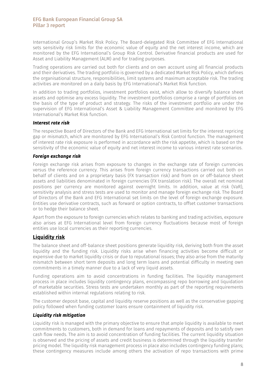International Group's Market Risk Policy. The Board-delegated Risk Committee of EFG International sets sensitivity risk limits for the economic value of equity and the net interest income, which are monitored by the EFG International's Group Risk Control. Derivative financial products are used for Asset and Liability Management (ALM) and for trading purposes.

Trading operations are carried out both for clients and on own account using all financial products and their derivatives. The trading portfolio is governed by a dedicated Market Risk Policy, which defines the organisational structure, responsibilities, limit systems and maximum acceptable risk. The trading activities are monitored on a daily basis by EFG International's Market Risk function.

In addition to trading portfolios, investment portfolios exist, which allow to diversify balance sheet assets and optimise any excess liquidity. The investment portfolios comprise a range of portfolios on the basis of the type of product and strategy. The risks of the investment portfolio are under the supervision of EFG International's Asset & Liability Management Committee and monitored by EFG International's Market Risk function.

#### *Interest rate risk*

The respective Board of Directors of the Bank and EFG International set limits for the interest repricing gap or mismatch, which are monitored by EFG International's Risk Control function. The management of interest rate risk exposure is performed in accordance with the risk appetite, which is based on the sensitivity of the economic value of equity and net interest income to various interest rate scenarios.

#### *Foreign exchange risk*

Foreign exchange risk arises from exposure to changes in the exchange rate of foreign currencies versus the reference currency. This arises from foreign currency transactions carried out both on behalf of clients and on a proprietary basis (FX transaction risk) and from on or off-balance sheet assets and liabilities denominated in foreign currencies (FX translation risk). The overall net nominal positions per currency are monitored against overnight limits. In addition, value at risk (VaR), sensitivity analysis and stress tests are used to monitor and manage foreign exchange risk. The Board of Directors of the Bank and EFG International set limits on the level of foreign exchange exposure. Entities use derivative contracts, such as forward or option contracts, to offset customer transactions or to hedge their balance sheet.

Apart from the exposure to foreign currencies which relates to banking and trading activities, exposure also arises at EFG International level from foreign currency fluctuations because most of foreign entities use local currencies as their reporting currencies.

### Liquidity risk

The balance sheet and off-balance sheet positions generate liquidity risk, deriving both from the asset liquidity and the funding risk. Liquidity risks arise when financing activities become difficult or expensive due to market liquidity crisis or due to reputational issues; they also arise from the maturity mismatch between short term deposits and long term loans and potential difficulty in meeting own commitments in a timely manner due to a lack of very liquid assets.

Funding operations aim to avoid concentrations in funding facilities. The liquidity management process in place includes liquidity contingency plans, encompassing repo borrowing and liquidation of marketable securities. Stress tests are undertaken monthly as part of the reporting requirements established within internal regulations relating to risk.

The customer deposit base, capital and liquidity reserve positions as well as the conservative gapping policy followed when funding customer loans ensure containment of liquidity risk.

### *Liquidity risk mitigation*

Liquidity risk is managed with the primary objective to ensure that ample liquidity is available to meet commitments to customers, both in demand for loans and repayments of deposits and to satisfy own cash flow needs. The aim is to avoid concentration of funding facilities. The current liquidity situation is observed and the pricing of assets and credit business is determined through the liquidity transfer pricing model. The liquidity risk management process in place also includes contingency funding plans; these contingency measures include among others the activation of repo transactions with prime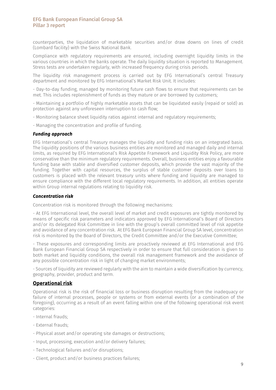counterparties, the liquidation of marketable securities and/or draw downs on lines of credit (Lombard facility) with the Swiss National Bank.

Compliance with regulatory requirements are ensured, including overnight liquidity limits in the various countries in which the banks operate. The daily liquidity situation is reported to Management. Stress tests are undertaken regularly, with increased frequency during crisis periods.

The liquidity risk management process is carried out by EFG International's central Treasury department and monitored by EFG International's Market Risk Unit. It includes:

- Day-to-day funding, managed by monitoring future cash flows to ensure that requirements can be met. This includes replenishment of funds as they mature or are borrowed by customers;

- Maintaining a portfolio of highly marketable assets that can be liquidated easily (repaid or sold) as protection against any unforeseen interruption to cash flow;

- Monitoring balance sheet liquidity ratios against internal and regulatory requirements;
- Managing the concentration and profile of funding.

#### *Funding approach*

EFG International's central Treasury manages the liquidity and funding risks on an integrated basis. The liquidity positions of the various business entities are monitored and managed daily and internal limits, as required by EFG International's Risk Appetite Framework and Liquidity Risk Policy, are more conservative than the minimum regulatory requirements. Overall, business entities enjoy a favourable funding base with stable and diversified customer deposits, which provide the vast majority of the funding. Together with capital resources, the surplus of stable customer deposits over loans to customers is placed with the relevant treasury units where funding and liquidity are managed to ensure compliance with the different local regulatory requirements. In addition, all entities operate within Group internal regulations relating to liquidity risk.

### *Concentration risk*

 Concentration risk is monitored through the following mechanisms:

- At EFG International level, the overall level of market and credit exposures are tightly monitored by means of specific risk parameters and indicators approved by EFG International's Board of Directors and/or its delegated Risk Committee in line with the group's overall committed level of risk appetite and avoidance of any concentration risk. At EFG Bank European Financial Group SA level, concentration risk is monitored by the Board of Directors, the Credit Committee and/or the Executive Committee;

- These exposures and corresponding limits are proactively reviewed at EFG International and EFG Bank European Financial Group SA respectively in order to ensure that full consideration is given to both market and liquidity conditions, the overall risk management framework and the avoidance of any possible concentration risk in light of changing market environments;

- Sources of liquidity are reviewed regularly with the aim to maintain a wide diversification by currency, geography, provider, product and term.

#### Operational risk

Operational risk is the risk of financial loss or business disruption resulting from the inadequacy or failure of internal processes, people or systems or from external events (or a combination of the foregoing), occurring as a result of an event falling within one of the following operational risk event categories:

- Internal frauds;
- External frauds;
- Physical asset and/or operating site damages or destructions;
- Input, processing, execution and/or delivery failures;
- Technological failures and/or disruptions;
- Client, product and/or business practices failures;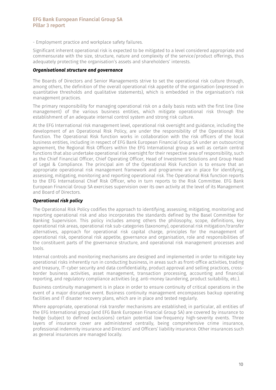- Employment practice and workplace safety failures.

Significant inherent operational risk is expected to be mitigated to a level considered appropriate and commensurate with the size, structure, nature and complexity of the service/product offerings, thus adequately protecting the organisation's assets and shareholders' interests.

#### *Organisational structure and governance*

The Boards of Directors and Senior Managements strive to set the operational risk culture through, among others, the definition of the overall operational risk appetite of the organisation (expressed in quantitative thresholds and qualitative statements), which is embedded in the organisation's risk management practices.

The primary responsibility for managing operational risk on a daily basis rests with the first line (line management) of the various business entities, which mitigate operational risk through the establishment of an adequate internal control system and strong risk culture.

At the EFG International risk management level, operational risk oversight and guidance, including the development of an Operational Risk Policy, are under the responsibility of the Operational Risk function. The Operational Risk function works in collaboration with the risk officers of the local business entities, including in respect of EFG Bank European Financial Group SA under an outsourcing agreement, the Regional Risk Officers within the EFG International group as well as certain central functions that also undertake operational risk oversight for their respective area of responsibility, such as the Chief Financial Officer, Chief Operating Officer, Head of Investment Solutions and Group Head of Legal & Compliance. The principal aim of the Operational Risk Function is to ensure that an appropriate operational risk management framework and programme are in place for identifying, assessing, mitigating, monitoring and reporting operational risk. The Operational Risk function reports to the EFG International Chief Risk Officer, who in turn reports to the Risk Committee. EFG Bank European Financial Group SA exercises supervision over its own activity at the level of its Management and Board of Directors.

#### *Operational risk policy*

The Operational Risk Policy codifies the approach to identifying, assessing, mitigating, monitoring and reporting operational risk and also incorporates the standards defined by the Basel Committee for Banking Supervision. This policy includes among others the philosophy, scope, definitions, key operational risk areas, operational risk sub-categories (taxonomy), operational risk mitigation/transfer alternatives, approach for operational risk capital charge, principles for the management of operational risk, operational risk appetite, governance and organisation, role and responsibilities of the constituent parts of the governance structure, and operational risk management processes and tools.

Internal controls and monitoring mechanisms are designed and implemented in order to mitigate key operational risks inherently run in conducting business, in areas such as front-office activities, trading and treasury, IT-cyber security and data confidentiality, product approval and selling practices, crossborder business activities, asset management, transaction processing, accounting and financial reporting, and regulatory compliance activities (e.g. anti-money laundering, product suitability, etc.).

Business continuity management is in place in order to ensure continuity of critical operations in the event of a major disruptive event. Business continuity management encompasses backup operating facilities and IT disaster recovery plans, which are in place and tested regularly.

Where appropriate, operational risk transfer mechanisms are established; in particular, all entities of the EFG International group (and EFG Bank European Financial Group SA) are covered by insurance to hedge (subject to defined exclusions) certain potential low-frequency high-severity events. Three layers of insurance cover are administered centrally, being comprehensive crime insurance, professional indemnity insurance and Directors' and Officers' liability insurance. Other insurances such as general insurances are managed locally.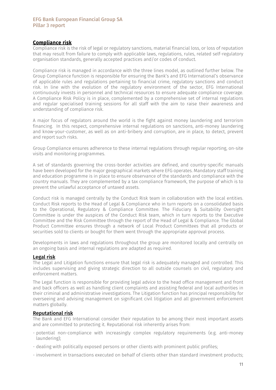### Compliance risk

Compliance risk is the risk of legal or regulatory sanctions, material financial loss, or loss of reputation that may result from failure to comply with applicable laws, regulations, rules, related self-regulatory organisation standards, generally accepted practices and/or codes of conduct.

Compliance risk is managed in accordance with the three lines model, as outlined further below. The Group Compliance function is responsible for ensuring the Bank's and EFG International's observance of applicable rules and regulations pertaining to financial crime, regulatory sanctions and conduct risk. In line with the evolution of the regulatory environment of the sector, EFG International continuously invests in personnel and technical resources to ensure adequate compliance coverage. A Compliance Risk Policy is in place, complemented by a comprehensive set of internal regulations and regular specialised training sessions for all staff with the aim to raise their awareness and understanding of compliance risk.

A major focus of regulators around the world is the fight against money laundering and terrorism financing. In this respect, comprehensive internal regulations on sanctions, anti-money laundering and know-your-customer, as well as on anti-bribery and corruption, are in place, to detect, prevent and report such risks.

Group Compliance ensures adherence to these internal regulations through regular reporting, on-site visits and monitoring programmes.

A set of standards governing the cross-border activities are defined, and country-specific manuals have been developed for the major geographical markets where EFG operates. Mandatory staff training and education programme is in place to ensure observance of the standards and compliance with the country manuals. They are complemented by a tax compliance framework, the purpose of which is to prevent the unlawful acceptance of untaxed assets.

Conduct risk is managed centrally by the Conduct Risk team in collaboration with the local entities. Conduct Risk reports to the Head of Legal & Compliance who in turn reports on a consolidated basis to the Operational, Regulatory & Compliance Committee. The Fiduciary & Suitability Oversight Committee is under the auspices of the Conduct Risk team, which in turn reports to the Executive Committee and the Risk Committee through the report of the Head of Legal & Compliance. The Global Product Committee ensures through a network of Local Product Committees that all products or securities sold to clients or bought for them went through the appropriate approval process.

Developments in laws and regulations throughout the group are monitored locally and centrally on an ongoing basis and internal regulations are adapted as required.

### Legal risk

The Legal and Litigation functions ensure that legal risk is adequately managed and controlled. This includes supervising and giving strategic direction to all outside counsels on civil, regulatory and enforcement matters.

The Legal function is responsible for providing legal advice to the head office management and front and back officers as well as handling client complaints and assisting federal and local authorities in their criminal and administrative investigations. The Litigation function has principal responsibility for overseeing and advising management on significant civil litigation and all government enforcement matters globally.

#### Reputational risk

The Bank and EFG International consider their reputation to be among their most important assets and are committed to protecting it. Reputational risk inherently arises from:

- potential non-compliance with increasingly complex regulatory requirements (e.g. anti-money laundering);
- dealing with politically exposed persons or other clients with prominent public profiles;
- involvement in transactions executed on behalf of clients other than standard investment products;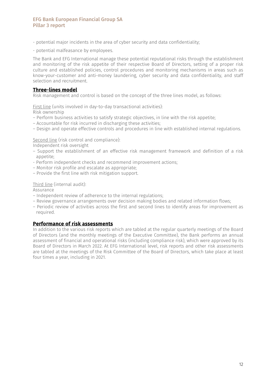- potential major incidents in the area of cyber security and data confidentiality;
- potential malfeasance by employees.

The Bank and EFG International manage these potential reputational risks through the establishment and monitoring of the risk appetite of their respective Board of Directors, setting of a proper risk culture and established policies, control procedures and monitoring mechanisms in areas such as know-your-customer and anti-money laundering, cyber security and data confidentiality, and staff selection and recruitment.

#### Three-lines model

Risk management and control is based on the concept of the three lines model, as follows:

First line (units involved in day-to-day transactional activities):

Risk ownership

- Perform business activities to satisfy strategic objectives, in line with the risk appetite;
- Accountable for risk incurred in discharging these activities;
- Design and operate effective controls and procedures in line with established internal regulations.

Second line (risk control and compliance):

Independent risk oversight

- Support the establishment of an effective risk management framework and definition of a risk appetite;
- Perform independent checks and recommend improvement actions;
- Monitor risk profile and escalate as appropriate;
- Provide the first line with risk mitigation support.

#### Third line (internal audit):

Assurance

- Independent review of adherence to the internal regulations;
- Review governance arrangements over decision making bodies and related information flows;
- Periodic review of activities across the first and second lines to identify areas for improvement as required.

### Performance of risk assessments

In addition to the various risk reports which are tabled at the regular quarterly meetings of the Board of Directors (and the monthly meetings of the Executive Committee), the Bank performs an annual assessment of financial and operational risks (including compliance risk), which were approved by its Board of Directors in March 2022. At EFG International level, risk reports and other risk assessments are tabled at the meetings of the Risk Committee of the Board of Directors, which take place at least four times a year, including in 2021.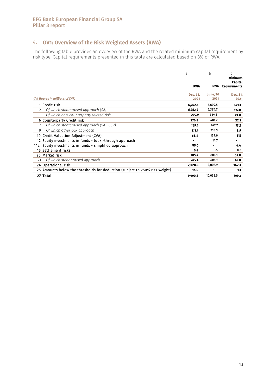### 4. OV1: Overview of the Risk Weighted Assets (RWA)

The following table provides an overview of the RWA and the related minimum capital requirement by risk type. Capital requirements presented in this table are calculated based on 8% of RWA.

|                |                                                                             | a<br><b>RWA</b> | h<br><b>RWA</b> | C<br><b>Minimum</b><br><b>Capital</b><br><b>Requirements</b> |
|----------------|-----------------------------------------------------------------------------|-----------------|-----------------|--------------------------------------------------------------|
|                |                                                                             | Dec. 31.        | June, 30        | Dec. 31.                                                     |
|                | (All figures in millions of CHF)                                            | 2021            | 2021            | 2021                                                         |
|                | 1 Credit risk                                                               | 6,762.3         | 6,699.5         | 541.1                                                        |
| $\overline{2}$ | Of which stantardised approach (SA)                                         | 6,462.4         | 6,384.7         | 517.0                                                        |
|                | Of which non-counterparty related risk                                      | 299.9           | 314.8           | 24.0                                                         |
|                | 6 Counterparty Credit risk                                                  | 276.8           | 401.2           | 22.1                                                         |
|                | Of which stantardised approach (SA - CCR)                                   | 165.4           | 242.7           | 13.2                                                         |
| 9              | Of which other CCR approach                                                 | 111.4           | 158.5           | 8.9                                                          |
|                | 10 Credit Valuation Adjustment (CVA)                                        | 68.4            | 129.6           | 5.5                                                          |
|                | 12 Equity investments in funds - look -through approach                     | ۰.              | 14.7            | ۰.                                                           |
| 14a l          | Equity investments in funds - simplified approach                           | 55.0            | -               | 4.4                                                          |
|                | 15 Settlement risks                                                         | 0.4             | 0.5             | 0.0                                                          |
|                | 20 Market risk                                                              | 785.4           | 806.1           | 62.8                                                         |
| 21             | Of which standardised approach                                              | 785.4           | 806.1           | 62.8                                                         |
|                | 24 Operational risk                                                         | 2,028.5         | 2,006.9         | 162.3                                                        |
|                | 25 Amounts below the thresholds for deduction (subject to 250% risk weight) | 14.0            |                 | 1.1                                                          |
|                | 27 Total                                                                    | 9,990.8         | 10,058.5        | 799.3                                                        |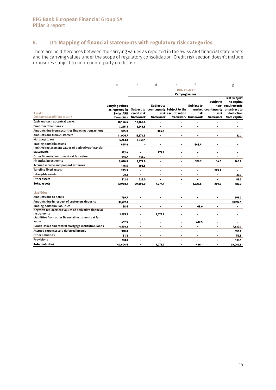### 5. LI1: Mapping of financial statements with regulatory risk categories

 There are no differences between the carrying values as reported in the Swiss ARB financial statements and the carrying values under the scope of regulatory consolidation. Credit risk section doesn't include exposures subject to non-counterparty credit risk.

|                                                      | a                              | $\mathsf{C}$   | d                 | e                                                             | f                            |                             | g                          |
|------------------------------------------------------|--------------------------------|----------------|-------------------|---------------------------------------------------------------|------------------------------|-----------------------------|----------------------------|
|                                                      |                                |                |                   | Dec. 31, 2021                                                 |                              |                             |                            |
|                                                      |                                |                |                   | <b>Carrying values</b>                                        |                              |                             |                            |
|                                                      |                                |                |                   |                                                               |                              |                             | <b>Not subject</b>         |
|                                                      |                                |                |                   |                                                               |                              | <b>Subjet to</b>            | to capital                 |
|                                                      | <b>Carrying values</b>         |                | <b>Subject to</b> |                                                               | <b>Subject to</b>            |                             | non-requirements           |
|                                                      | as reported in                 | credit risk    |                   | Subject to counterparty Subject to the<br>risk securitisation | risk                         | market counterparty<br>risk | or subject to<br>deduction |
| <b>Assets</b><br>(All figures in millions of CHF)    | <b>Swiss ARB</b><br>financials | framework      | framework         |                                                               | framework framework          |                             | framework from capital     |
| Cash and cash at central banks                       | 10,166.6                       | 10,166.6       | ۰                 |                                                               | $\blacksquare$               | $\blacksquare$              |                            |
| Due from other banks                                 | 3,245.8                        | 3,245.8        |                   |                                                               | ä,                           | ä,                          |                            |
| Amounts due from securities financing transactions   | 305.0                          |                |                   |                                                               |                              | $\overline{a}$              |                            |
| <b>Amounts due from customers</b>                    |                                |                | 305.0             |                                                               |                              |                             |                            |
|                                                      | 11,906.7                       | 11,874.5       |                   |                                                               |                              |                             | 32.2                       |
| Mortgage loans                                       | 5,763.1                        | 5,763.1        | ۰                 |                                                               |                              |                             | ٠                          |
| <b>Trading portfolio assets</b>                      | 648.4                          | ٠              | ۰                 | ٠                                                             | 648.4                        | ä,                          | ۰                          |
| Positive replacement values of derivatives financial |                                |                |                   |                                                               |                              |                             |                            |
| statements                                           | 972.4                          | ۰              | 972.4             |                                                               | ۰                            | ٠                           | $\blacksquare$             |
| Other financial instruments at fair value            | 146.7                          | 146.7          | $\blacksquare$    | $\blacksquare$                                                | $\blacksquare$               | $\blacksquare$              | ٠                          |
| <b>Financial investments</b>                         | 9,010.8                        | 8,279.8        | ۰                 | $\blacksquare$                                                | 376.2                        | 14.0                        | 340.8                      |
| Accrued income and prepaid expenses                  | 196.5                          | 196.5          |                   | ۰                                                             | $\blacksquare$               | $\overline{a}$              | $\blacksquare$             |
| Tangible fixed assets                                | 285.9                          | ٠              | ۰                 | ۰                                                             | $\blacksquare$               | 285.9                       | $\blacksquare$             |
| Intangible assets                                    | 20.3                           | ٠              | $\blacksquare$    | $\blacksquare$                                                | $\blacksquare$               | $\blacksquare$              | 20.3                       |
| Other assets                                         | 312.0                          | 225.0          | ۰                 |                                                               | ä,                           | $\blacksquare$              | 87.0                       |
| <b>Total assets</b>                                  | 42,980.2                       | 39,898.0       | 1,277.4           |                                                               | 1,024.6                      | 299.9                       | 480.3                      |
|                                                      |                                |                |                   |                                                               |                              |                             |                            |
| <b>Liabilities</b>                                   |                                |                |                   |                                                               |                              |                             |                            |
| <b>Amounts due to banks</b>                          | 769.7                          |                |                   |                                                               |                              |                             | 769.7                      |
| Amounts due in respect of customers deposits         | 33,227.1                       | ۰              | ۰                 |                                                               |                              |                             | 33,227.1                   |
| <b>Trading portfolio liabilities</b>                 | 68.6                           | $\blacksquare$ | ۰                 | ۰                                                             | 68.6                         | $\blacksquare$              |                            |
| Negative replacement values of derivative financial  |                                |                |                   |                                                               |                              |                             |                            |
| instruments                                          | 1,075.7                        |                | 1,075.7           |                                                               |                              |                             |                            |
| Liabilities from other financial instruments at fair |                                |                |                   |                                                               |                              |                             |                            |
| value                                                | 417.5                          |                | ä,                |                                                               | 417.5                        |                             |                            |
| Bonds issues and central mortgage institution loans  | 4,530.3                        |                | $\blacksquare$    | ٠                                                             | $\blacksquare$               | $\blacksquare$              | 4,530.3                    |
| Accrued expenses and deferred income                 | 330.8                          | $\blacksquare$ | $\blacksquare$    | $\blacksquare$                                                | $\qquad \qquad \blacksquare$ | $\blacksquare$              | 330.8                      |
| <b>Other liabilities</b>                             | 51.8                           | $\blacksquare$ | ۰                 |                                                               | $\qquad \qquad \blacksquare$ | $\blacksquare$              | 51.8                       |
| <b>Provisions</b>                                    | 133.1                          |                |                   | ۰                                                             | $\overline{a}$               | ۰                           | 133.1                      |
| <b>Total liabilities</b>                             | 40,604.6                       |                | 1.075.7           | ٠                                                             | 486.1                        | $\blacksquare$              | 39,042.8                   |
|                                                      |                                |                |                   |                                                               |                              |                             |                            |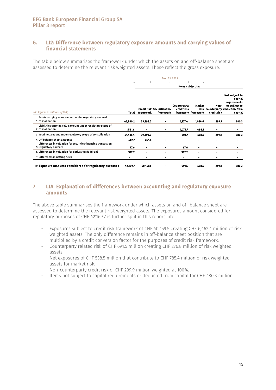### 6. LI2: Difference between regulatory exposure amounts and carrying values of financial statements

The table below summarises the framework under which the assets on and off-balance sheet are assessed to determine the relevant risk weighted assets. These reflect the gross exposure.

|                                                                                         | Dec. 31, 2021 |           |                                                |                                    |                                      |                     |                                                                                                           |
|-----------------------------------------------------------------------------------------|---------------|-----------|------------------------------------------------|------------------------------------|--------------------------------------|---------------------|-----------------------------------------------------------------------------------------------------------|
|                                                                                         | a             | b         | $\epsilon$                                     | d                                  | e                                    |                     |                                                                                                           |
|                                                                                         |               |           |                                                | Items subject to:                  |                                      |                     |                                                                                                           |
| (All figures in millions of CHF)                                                        | Total         | framework | <b>Credit risk Securitisation</b><br>framework | <b>Counterparty</b><br>credit risk | <b>Market</b><br>framework framework | Non-<br>credit risk | Not subject to<br>capital<br>requirements<br>or subject to<br>risk counterparty deduction from<br>capital |
| Assets carrying value amount under regulatory scope of<br>1 consolidation               | 42,980.2      | 39,898.0  |                                                | 1,277.4                            | 1,024.6                              | 299.9               | 480.3                                                                                                     |
| Liabilities carrying value amount under regulatory scope of<br>2 consolidation          | 1.561.8       | ٠         |                                                | 1,075.7                            | 486.1                                | ۰                   | ۰                                                                                                         |
| 3 Total net amount under regulatory scope of consolidation                              | 41,418.4      | 39,898.0  |                                                | 201.7                              | 538.5                                | 299.9               | 480.3                                                                                                     |
| 4 Off balance-sheet amounts                                                             | 487.7         | 261.5     |                                                | $\blacksquare$                     |                                      | $\blacksquare$      |                                                                                                           |
| Differences in valuation for securities financing transaction<br>5 (regulatory haircut) | 97.6          | ۰         | -                                              | 97.6                               | ۰                                    | $\blacksquare$      |                                                                                                           |
| 6 Differences in valuation for derivatives (add-on)                                     | 392.2         | ۰         | ۰                                              | 392.2                              | ۰                                    | ۰                   | ۰.                                                                                                        |
| 7 Differences in netting rules                                                          | ۰             |           |                                                | ۰                                  |                                      | ٠                   |                                                                                                           |
| 10 Exposure amounts considered for regulatory purposes                                  | 42.169.7      | 40.159.5  |                                                | 691.5                              | 538.5                                | 299.9               | 480.3                                                                                                     |

### 7. LIA: Explanation of differences between accounting and regulatory exposure amounts

The above table summarises the framework under which assets on and off-balance sheet are assessed to determine the relevant risk weighted assets. The exposures amount considered for regulatory purposes of CHF 42'169.7 is further split in this report into:

- Exposures subject to credit risk framework of CHF 40'159.5 creating CHF 6,462.4 million of risk weighted assets. The only difference remains in off-balance sheet position that are multiplied by a credit conversion factor for the purposes of credit risk framework.
- Counterparty related risk of CHF 691.5 million creating CHF 276.8 million of risk weighted assets.
- Net exposures of CHF 538.5 million that contribute to CHF 785.4 million of risk weighted assets for market risk.
- Non-counterparty credit risk of CHF 299.9 million weighted at 100%.
- Items not subject to capital requirements or deducted from capital for CHF 480.3 million.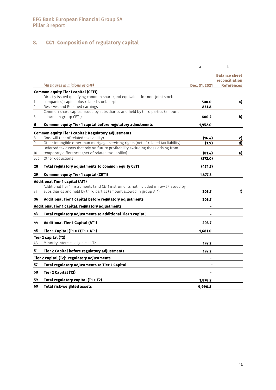# 8. CC1: Composition of regulatory capital

|                     |                                                                                      | a              | b                               |
|---------------------|--------------------------------------------------------------------------------------|----------------|---------------------------------|
|                     |                                                                                      |                | Balance sheet<br>reconciliation |
|                     | (All figures in millions of CHF)                                                     | Dec. 31, 2021  | <b>References</b>               |
|                     | Common equity Tier I capital (CET1)                                                  |                |                                 |
|                     | Directly issued qualifying common share (and equivalent for non-joint stock          |                |                                 |
| 1<br>$\overline{c}$ | companies) capital plus related stock surplus<br>Reserves and Retained earnings      | 500.0<br>851.8 | a)                              |
|                     | Common share capital issued by subsidiaries and held by third parties (amount        |                |                                 |
| 5                   | allowed in group CET1)                                                               | 600.2          | b)                              |
| 6                   | Common equity Tier 1 capital before regulatory adjustments                           | 1,952.0        |                                 |
|                     | Common equity Tier I capital: Regulatory adjustments                                 |                |                                 |
| 8                   | Goodwill (net of related tax liability)                                              | (16.4)         | c)                              |
| 9                   | Other intangible other than mortgage-servicing rights (net of related tax liability) | (3.9)          | d)                              |
|                     | Deferred tax assets that rely on future profitability excluding those arising from   |                |                                 |
| 10                  | temporary differences (net of related tax liability)                                 | (81.4)         | e)                              |
| 26b                 | Other deductions                                                                     | (373.0)        |                                 |
| 28                  | Total regulatory adjustments to common equity CET1                                   | (474.7)        |                                 |
| 29                  | <b>Common equity Tier 1 capital (CET1)</b>                                           | 1,477.3        |                                 |
|                     | <b>Additional Tier 1 capital (AT1)</b>                                               |                |                                 |
|                     | Additional Tier 1 instruments (and CET1 instruments not included in row 5) issued by |                |                                 |
| 34                  | subsidiaries and held by third parties (amount allowed in group AT1)                 | 203.7          | f)                              |
| 36                  | Additional Tier 1 capital before regulatory adjustments                              | 203.7          |                                 |
|                     | Additional Tier 1 capital: regulatory adjustments                                    |                |                                 |
| 43                  | Total regulatory adjustments to additional Tier 1 capital                            |                |                                 |
| 44                  | <b>Additional Tier 1 Capital (AT1)</b>                                               | 203.7          |                                 |
| 45                  | Tier 1 Capital (T1 = CET1 + AT1)                                                     | 1,681.0        |                                 |
|                     | Tier 2 capital (T2)                                                                  |                |                                 |
| 48                  | Minority interests eligible as T2                                                    | 197.2          |                                 |
| 51                  | Tier 2 Capital before regulatory adjustments                                         | 197.2          |                                 |
|                     | Tier 2 capital (T2): regulatory adjustments                                          | ÷              |                                 |
| 57                  | Total regulatory adjustments to Tier 2 Capital                                       |                |                                 |
| 58                  | Tier 2 Capital (T2)                                                                  |                |                                 |
| 59                  | Total regulatory capital (T1 + T2)                                                   | 1,878.2        |                                 |
| 60                  | <b>Total risk-weighted assets</b>                                                    | 9,990.8        |                                 |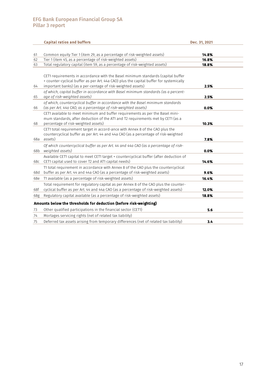|     | <b>Capital ratios and buffers</b>                                                                                                                                                                                                                                                                                                | Dec. 31, 2021 |
|-----|----------------------------------------------------------------------------------------------------------------------------------------------------------------------------------------------------------------------------------------------------------------------------------------------------------------------------------|---------------|
|     |                                                                                                                                                                                                                                                                                                                                  |               |
| 61  | Common equity Tier 1 (item 29, as a percentage of risk-weighted assets)                                                                                                                                                                                                                                                          | 14.8%         |
| 62  | Tier 1 (item 45, as a percentage of risk-weighted assets)                                                                                                                                                                                                                                                                        | 16.8%         |
| 63  | Total regulatory capital (item 59, as a percentage of risk-weighted assets)                                                                                                                                                                                                                                                      | 18.8%         |
| 64  | CET1 requirements in accordance with the Basel minimum standards (capital buffer<br>+ counter-cyclical buffer as per Art. 44a CAO) plus the capital buffer for systemically<br>important banks) (as a per-centage of risk-weighted assets)<br>of which, capital buffer in accordance with Basel minimum standards (as a percent- | 2.5%          |
| 65  | age of risk-weighted assets)                                                                                                                                                                                                                                                                                                     | 2.5%          |
| 66  | of which, countercyclical buffer in accordance with the Basel minimum standards<br>(as per Art. 44a CAO, as a percentage of risk-weighted assets)                                                                                                                                                                                | 0.0%          |
| 68  | CET1 available to meet minimum and buffer requirements as per the Basel mini-<br>mum standards, after deduction of the AT1 and T2 requirements met by CET1 (as a<br>percentage of risk-weighted assets)                                                                                                                          | 10.3%         |
| 68a | CET1 total requirement target in accord-ance with Annex 8 of the CAO plus the<br>countercyclical buffer as per Art. 44 and 44a CAO (as a percentage of risk-weighted<br>assets)                                                                                                                                                  | 7.8%          |
| 68b | Of which countercyclical buffer as per Art. 44 and 44a CAO (as a percentage of risk-<br>weighted assets)                                                                                                                                                                                                                         | 0.0%          |
| 68c | Available CET1 capital to meet CET1 target + countercyclical buffer (after deduction of<br>CET1 capital used to cover T2 and AT1 capital needs)                                                                                                                                                                                  | 14.6%         |
| 68d | T1 total requirement in accordance with Annex 8 of the CAO plus the countercyclical<br>buffer as per Art. 44 and 44a CAO (as a percentage of risk-weighted assets)                                                                                                                                                               | 9.6%          |
| 68e | T1 available (as a percentage of risk-weighted assets)                                                                                                                                                                                                                                                                           | 16.4%         |
| 68f | Total requirement for regulatory capital as per Annex 8 of the CAO plus the counter-<br>cyclical buffer as per Art. 44 and 44a CAO (as a percentage of risk-weighted assets)                                                                                                                                                     | 12.0%         |
| 68g | Regulatory capital available (as a percentage of risk-weighted assets)                                                                                                                                                                                                                                                           | 18.8%         |
|     | Amounts below the thresholds for deduction (before risk-weighting)                                                                                                                                                                                                                                                               |               |
| 73  | Other qualified participations in the financial sector (CET1)                                                                                                                                                                                                                                                                    | 5.6           |
| 74  | Mortages servicing rights (net of related tax liability)                                                                                                                                                                                                                                                                         |               |
| 75  | Deferred tax assets arising from temporary differences (net of related tax liability)                                                                                                                                                                                                                                            | 3.4           |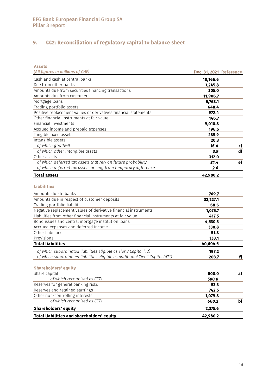# 9. CC2: Reconciliation of regulatory capital to balance sheet

| <b>Assets</b><br>(All figures in millions of CHF)                             |                                |    |
|-------------------------------------------------------------------------------|--------------------------------|----|
|                                                                               | <b>Dec. 31, 2021 Reference</b> |    |
| Cash and cash at central banks<br>Due from other banks                        | 10,166.6                       |    |
|                                                                               | 3,245.8<br>305.0               |    |
| Amounts due from securities financing transactions                            |                                |    |
| Amounts due from customers<br>Mortgage loans                                  | 11,906.7<br>5,763.1            |    |
| Trading portfolio assets                                                      | 648.4                          |    |
| Positive replacement values of derivatives financial statements               | 972.4                          |    |
| Other financial instruments at fair value                                     | 146.7                          |    |
| Financial investments                                                         | 9,010.8                        |    |
| Accrued income and prepaid expenses                                           | 196.5                          |    |
| Tangible fixed assets                                                         | 285.9                          |    |
| Intangible assets                                                             | 20.3                           |    |
| of which goodwill                                                             | 16.4                           | c) |
| of which other intangible assets                                              | 3.9                            | d) |
| Other assets                                                                  | 312.0                          |    |
| of which deferred tax assets that rely on future probability                  | 81.4                           | e) |
| of which deferred tax assets arising from temporary difference                | 2.6                            |    |
| <b>Total assets</b>                                                           | 42,980.2                       |    |
|                                                                               |                                |    |
| <b>Liabilities</b>                                                            |                                |    |
| Amounts due to banks                                                          | 769.7                          |    |
| Amounts due in respect of customer deposits                                   | 33,227.1                       |    |
| Trading portfolio liabilities                                                 | 68.6                           |    |
| Negative replacement values of derivative financial instruments               | 1,075.7                        |    |
| Liabilities from other financial instruments at fair value                    | 417.5                          |    |
| Bond issues and central mortgage institution loans                            | 4,530.3                        |    |
| Accrued expenses and deferred income                                          | 330.8                          |    |
| Other liabilities                                                             | 51.8                           |    |
| Provisions                                                                    | 133.1                          |    |
| <b>Total liabilities</b>                                                      | 40,604.6                       |    |
| of which subordinated liabilities eligible as Tier 2 Capital (T2)             | 197.2                          |    |
| of which subordinated liabilities eligible as Additional Tier 1 Capital (AT1) | 203.7                          | f) |
| <b>Shareholders' equity</b>                                                   |                                |    |
| Share capital                                                                 | 500.0                          | a) |
| of which recognized as CET1                                                   | 500.0                          |    |
| Reserves for general banking risks                                            | 53.3                           |    |
| Reserves and retained earnings                                                | 742.5                          |    |
| Other non-controlling interests                                               | 1,079.8                        |    |
| of which recognized as CET1                                                   | 600.2                          | b) |
| <b>Shareholders' equity</b>                                                   | 2,375.6                        |    |
| <b>Total liabilities and shareholders' equity</b>                             | 42,980.2                       |    |
|                                                                               |                                |    |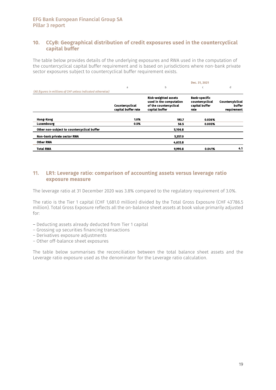### 10. CCyB: Geographical distribution of credit exposures used in the countercyclical capital buffer

The table below provides details of the underlying exposures and RWA used in the computation of the countercyclical capital buffer requirement and is based on jurisdictions where non-bank private sector exposures subject to countercyclical buffer requirement exists.

|                                                             |                                        |                                                                                                    | Dec. 31, 2021                                                     |                                           |
|-------------------------------------------------------------|----------------------------------------|----------------------------------------------------------------------------------------------------|-------------------------------------------------------------------|-------------------------------------------|
|                                                             | a                                      | b                                                                                                  | C                                                                 | d                                         |
| (All figures in millions of CHF unless indicated otherwise) |                                        |                                                                                                    |                                                                   |                                           |
|                                                             | Countercyclical<br>capital buffer rate | <b>Risk-weighted assets</b><br>used in the computation<br>of the countercyclical<br>capital buffer | <b>Bank-specific</b><br>countercyclical<br>capital buffer<br>rate | Countercylclical<br>buffer<br>requirement |
| <b>Hong-Kong</b>                                            | 1.0%                                   | 193.7                                                                                              | 0.036%                                                            |                                           |
| Luxembourg                                                  | 0.5%                                   | 56.5                                                                                               | 0.005%                                                            |                                           |
| Other non-subject to countercyclical buffer                 |                                        | 5,106.8                                                                                            |                                                                   |                                           |
| <b>Non-bank private sector RWA</b>                          |                                        | 5,357.0                                                                                            |                                                                   |                                           |
| <b>Other RWA</b>                                            |                                        | 4,633.8                                                                                            |                                                                   |                                           |
| Total RWA                                                   |                                        | 9,990.8                                                                                            | 0.041%                                                            | 4.1                                       |

### 11. LR1: Leverage ratio: comparison of accounting assets versus leverage ratio exposure measure

The leverage ratio at 31 December 2020 was 3.8% compared to the regulatory requirement of 3.0%.

The ratio is the Tier 1 capital (CHF 1,681.0 million) divided by the Total Gross Exposure (CHF 43'786.5 million). Total Gross Exposure reflects all the on-balance sheet assets at book value primarily adjusted for:

- Deducting assets already deducted from Tier 1 capital
- Grossing up securities financing transactions
- Derivatives exposure adjustments
- Other off-balance sheet exposures

The table below summarises the reconciliation between the total balance sheet assets and the Leverage ratio exposure used as the denominator for the Leverage ratio calculation.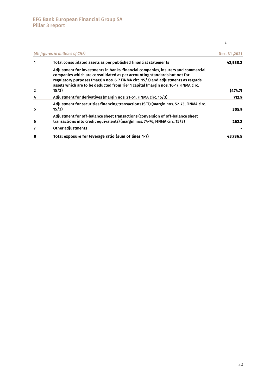a

|                | (All figures in millions of CHF)                                                                                                                                                                                                                                                                                                                  | 2021, Dec. 31 |
|----------------|---------------------------------------------------------------------------------------------------------------------------------------------------------------------------------------------------------------------------------------------------------------------------------------------------------------------------------------------------|---------------|
|                | Total consolidated assets as per published financial statements                                                                                                                                                                                                                                                                                   | 42,980.2      |
| $\overline{2}$ | Adjustment for investments in banks, financial companies, insurers and commercial<br>companies which are consolidated as per accounting standards but not for<br>regulatory purposes (margin nos. 6-7 FINMA circ. 15/3) and adjustments as regards<br>assets which are to be deducted from Tier 1 capital (margin nos. 16-17 FINMA circ.<br>15/3) | (474.7)       |
|                | Adjustment for derivatives (margin nos. 21-51, FINMA circ. 15/3)                                                                                                                                                                                                                                                                                  | 712.9         |
| 5              | Adjustment for securities financing transactions (SFT) (margin nos. 52-73, FINMA circ.<br>15/3)                                                                                                                                                                                                                                                   | 305.9         |
| 6              | Adjustment for off-balance sheet transactions (conversion of off-balance sheet<br>transactions into credit equivalents) (margin nos. 74-76, FINMA circ. 15/3)                                                                                                                                                                                     | 262.2         |
|                | Other adjustments                                                                                                                                                                                                                                                                                                                                 |               |
|                | Total exposure for leverage ratio (sum of lines 1-7)                                                                                                                                                                                                                                                                                              | 43,786.       |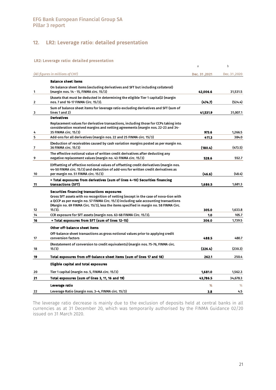### 12. LR2: Leverage ratio: detailed presentation

#### LR2: Leverage ratio: detailed presentation

|    |                                                                                                                                                                                                                     | a            | b            |
|----|---------------------------------------------------------------------------------------------------------------------------------------------------------------------------------------------------------------------|--------------|--------------|
|    | (All figures in millions of CHF)                                                                                                                                                                                    | Dec. 31,2021 | Dec. 31,2020 |
|    | <b>Balance sheet items</b>                                                                                                                                                                                          |              |              |
| 1  | On balance sheet items (excluding derivatives and SFT but including collateral)<br>(margin nos. 14 - 15, FINMA circ. 15/3)                                                                                          | 42,006.6     | 31,531.5     |
| 2  | (Assets that must be deducted in determining the eligible Tier 1 capital)2 (margin<br>nos. 7 and 16-17 FINMA Circ. 15/3).                                                                                           | (474.7)      | (524.4)      |
| 3  | Sum of balance sheet items for leverage ratio excluding derivatives and SFT (sum of<br>lines 1 and 2)                                                                                                               | 41,531.9     | 31,007.1     |
|    | <b>Derivatives</b>                                                                                                                                                                                                  |              |              |
| 4  | Replacement values for derivative transactions, including those for CCPs taking into<br>consideration received margins and netting agreements (margin nos. 22-23 and 34-<br>35 FINMA circ. 15/3)                    | 973.6        | 1,266.5      |
| 5  | Add-ons for all derivatives (margin nos. 22 and 25 FINMA circ. 15/3)                                                                                                                                                | 411.3        | 384.0        |
| 7  | (Deduction of receivables caused by cash variation margins posted as per margin no.<br>36 FINMA circ. 15/3)                                                                                                         | (180.4)      | (473.5)      |
| 9  | The effective notional value of written credit derivatives after deducting any<br>negative replacement values (margin no. 43 FINMA circ. 15/3)                                                                      | 528.6        | 552.7        |
| 10 | (Offsetting of effective notional values of offsetting credit derivatives (margin nos.<br>44-50 FINMA circ, 15/3) and deduction of add-ons for written credit derivatives as<br>per margin no. 51 FINMA circ. 15/3) | (46.6)       | (48.4)       |
| 11 | = Total exposures from derivatives (sum of lines 4–10) Securities financing<br>transactions (SFT)                                                                                                                   | 1,686.5      | 1,681.3      |
|    |                                                                                                                                                                                                                     |              |              |
|    | Securities financing transactions exposures<br>Gross SFT assets with no recognition of netting (except in the case of nova-tion with                                                                                |              |              |
|    | a QCCP as per margin no. 57 FINMA Circ. 15/3) including sale accounting transactions<br>(Margin no. 69 FINMA Circ. 15/3), less the items specified in margin no. 58 FINMA Circ.                                     |              |              |
| 12 | $15/3$ ).                                                                                                                                                                                                           | 305.0        | 1,633.8      |
| 14 | CCR exposure for SFT assets (margin nos. 63-68 FINMA Circ. 15/3).                                                                                                                                                   | 1.0          | 105.7        |
| 16 | = Total exposures from SFT (sum of lines 12-15)                                                                                                                                                                     | 306.0        | 1,739.5      |
|    | Other off-balance sheet items                                                                                                                                                                                       |              |              |
| 17 | Off-balance sheet transactions as gross notional values prior to applying credit<br>conversion factors                                                                                                              | 488.5        | 480.7        |
|    | (Restatement of conversion to credit equivalents) (margin nos. 75-76, FINMA circ.                                                                                                                                   |              |              |
| 18 | 15/3)                                                                                                                                                                                                               | (226.4)      | (230.3)      |
| 19 | Total exposures from off-balance sheet items (sum of lines 17 and 18)                                                                                                                                               | 262.1        | 250.4        |
|    | Eligible capital and total exposures                                                                                                                                                                                |              |              |
| 20 | Tier 1 capital (margin no. 5, FINMA circ. 15/3)                                                                                                                                                                     | 1,681.0      | 1,562.3      |
| 21 | Total exposures (sum of lines 3, 11, 16 and 19)                                                                                                                                                                     | 43,786.5     | 34,678.3     |
|    | Leverage ratio                                                                                                                                                                                                      | %            | %            |
| 22 | Leverage Ratio (margin nos. 3–4, FINMA circ. 15/3)                                                                                                                                                                  | 3.8          | 4.5          |

The leverage ratio decrease is mainly due to the exclusion of deposits held at central banks in all currencies as at 31 December 20, which was temporarily authorised by the FINMA Guidance 02/20 issued on 31 March 2020.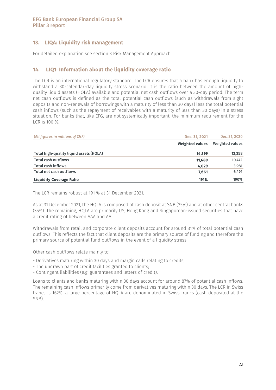### 13. LIQA: Liquidity risk management

For detailed explanation see section 3 Risk Management Approach.

### 14. LIQ1: Information about the liquidity coverage ratio

The LCR is an international regulatory standard. The LCR ensures that a bank has enough liquidity to withstand a 30-calendar-day liquidity stress scenario. It is the ratio between the amount of highquality liquid assets (HQLA) available and potential net cash outflows over a 30-day period. The term net cash outflows is defined as the total potential cash outflows (such as withdrawals from sight deposits and non-renewals of borrowings with a maturity of less than 30 days) less the total potential cash inflows (such as the repayment of receivables with a maturity of less than 30 days) in a stress situation. For banks that, like EFG, are not systemically important, the minimum requirement for the LCR is 100 %.

| (All figures in millions of CHF)        | Dec. 31, 2021          | Dec. 31, 2020   |
|-----------------------------------------|------------------------|-----------------|
|                                         | <b>Weighted values</b> | Weighted values |
| Total high-quality liquid assets (HQLA) | 14.599                 | 12,358          |
| <b>Total cash outflows</b>              | 11,689                 | 10,472          |
| <b>Total cash inflows</b>               | 4,029                  | 3,981           |
| Total net cash outflows                 | 7,661                  | 6,491           |
| <b>Liquidity Coverage Ratio</b>         | 191%                   | 190%            |

The LCR remains robust at 191 % at 31 December 2021.

As at 31 December 2021, the HQLA is composed of cash deposit at SNB (35%) and at other central banks (35%). The remaining, HQLA are primarily US, Hong Kong and Singaporean-issued securities that have a credit rating of between AAA and AA.

Withdrawals from retail and corporate client deposits account for around 81% of total potential cash outflows. This reflects the fact that client deposits are the primary source of funding and therefore the primary source of potential fund outflows in the event of a liquidity stress.

Other cash outflows relate mainly to:

- Derivatives maturing within 30 days and margin calls relating to credits;
- The undrawn part of credit facilities granted to clients;
- Contingent liabilities (e.g. guarantees and letters of credit).

Loans to clients and banks maturing within 30 days account for around 87% of potential cash inflows. The remaining cash inflows primarily come from derivatives maturing within 30 days. The LCR in Swiss francs is 162%, a large percentage of HQLA are denominated in Swiss francs (cash deposited at the SNB).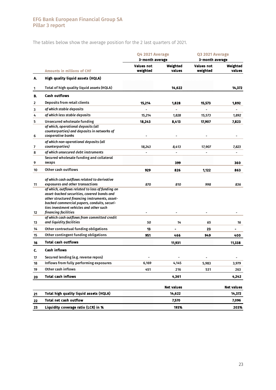The tables below show the average position for the 2 last quarters of 2021.

|    |                                                                                                                                                                                                                                                                                     |                        | Q4 2021 Average<br>3-month average |                               | Q3 2021 Average<br>3-month average |  |  |
|----|-------------------------------------------------------------------------------------------------------------------------------------------------------------------------------------------------------------------------------------------------------------------------------------|------------------------|------------------------------------|-------------------------------|------------------------------------|--|--|
|    | <b>Amounts in millions of CHF</b>                                                                                                                                                                                                                                                   | Values not<br>weighted | Weighted<br>values                 | <b>Values not</b><br>weighted | Weighted<br>values                 |  |  |
| A. | High quality liquid assets (HQLA)                                                                                                                                                                                                                                                   |                        |                                    |                               |                                    |  |  |
| 1  | Total of high quality liquid assets (HQLA)                                                                                                                                                                                                                                          |                        | 14,622                             |                               | 14,372                             |  |  |
| B. | <b>Cash outflows</b>                                                                                                                                                                                                                                                                |                        |                                    |                               |                                    |  |  |
| 2  | Deposits from retail clients                                                                                                                                                                                                                                                        | 15,214                 | 1,828                              | 15,573                        | 1,892                              |  |  |
| 3  | of which stable deposits                                                                                                                                                                                                                                                            |                        |                                    |                               |                                    |  |  |
| 4  | of which less stable deposits                                                                                                                                                                                                                                                       | 15,214                 | 1,828                              | 15,573                        | 1,892                              |  |  |
| 5  | Unsecured wholesale funding                                                                                                                                                                                                                                                         | 18,243                 | 8,413                              | 17,907                        | 7,823                              |  |  |
| 6  | of which, operational deposits (all<br>counterparties) and deposits in networks of<br>cooperative banks                                                                                                                                                                             |                        |                                    |                               |                                    |  |  |
| 7  | of which non-operational deposits (all<br>counterparties)                                                                                                                                                                                                                           | 18,243                 | 8,413                              | 17,907                        | 7,823                              |  |  |
| 8  | of which unsecured debt instruments                                                                                                                                                                                                                                                 |                        |                                    |                               |                                    |  |  |
| 9  | Secured wholesale funding and collateral<br>swaps                                                                                                                                                                                                                                   |                        | 399                                |                               | 360                                |  |  |
| 10 | Other cash outflows                                                                                                                                                                                                                                                                 | 929                    | 826                                | 1,122                         | 863                                |  |  |
| 11 | of which cash outflows related to derivative<br>exposures and other transactions<br>of which, outflows related to loss of funding on<br>asset-backed securities, covered bonds and<br>other structured financing instruments, asset-<br>backed commercial papers, conduits, securi- | 870                    | 810                                | 998                           | 836                                |  |  |
| 12 | ties investment vehicles and other such<br>financing facilities                                                                                                                                                                                                                     |                        |                                    |                               |                                    |  |  |
| 13 | of which cash outflows from committed credit<br>and liquidity facilities                                                                                                                                                                                                            | 50                     | 14                                 | 65                            | 16                                 |  |  |
| 14 | Other contractual funding obligations                                                                                                                                                                                                                                               | 13                     | ۰                                  | 23                            | -                                  |  |  |
| 15 | Other contingent funding obligations                                                                                                                                                                                                                                                | 951                    | 466                                | 949                           | 400                                |  |  |
| 16 | <b>Total cash outflows</b>                                                                                                                                                                                                                                                          |                        | 11,931                             |                               | 11,338                             |  |  |
| c. | <b>Cash inflows</b>                                                                                                                                                                                                                                                                 |                        |                                    |                               |                                    |  |  |
| 17 | Secured lending (e.g. reverse repos)                                                                                                                                                                                                                                                |                        |                                    |                               |                                    |  |  |
| 18 | Inflows from fully performing exposures                                                                                                                                                                                                                                             | 6,169                  | 4,145                              | 5,983                         | 3,979                              |  |  |
| 19 | Other cash inflows                                                                                                                                                                                                                                                                  | 451                    | 216                                | 531                           | 263                                |  |  |
| 20 | <b>Total cash inflows</b>                                                                                                                                                                                                                                                           |                        | 4,361                              |                               | 4,242                              |  |  |
|    |                                                                                                                                                                                                                                                                                     |                        | <b>Net values</b>                  |                               | <b>Net values</b>                  |  |  |
| 21 | Total high quality liquid assets (HQLA)                                                                                                                                                                                                                                             |                        | 14,622                             |                               | 14,372                             |  |  |
| 22 | <b>Total net cash outflow</b>                                                                                                                                                                                                                                                       |                        | 7,570                              |                               | 7,096                              |  |  |
| 23 | Liquidity coverage ratio (LCR) in %                                                                                                                                                                                                                                                 |                        | 193%                               |                               | 203%                               |  |  |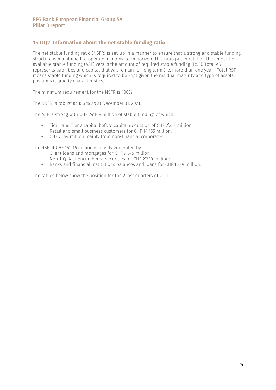### 15.LIQ2: Information about the net stable funding ratio

The net stable funding ratio (NSFR) is set-up in a manner to ensure that a strong and stable funding structure is maintained to operate in a long-term horizon. This ratio put in relation the amount of available stable funding (ASF) versus the amount of required stable funding (RSF). Total ASF represents liabilities and capital that will remain for long term (i.e. more than one year). Total RSF means stable funding which is required to be kept given the residual maturity and type of assets positions (liquidity characteristics).

The minimum requirement for the NSFR is 100%.

The NSFR is robust at 156 % as at December 31, 2021.

The ASF is strong with CHF 24'109 million of stable funding, of which:

- Tier 1 and Tier 2 capital before capital deduction of CHF 2'353 million;
- Retail and small business customers for CHF 14'155 million;
- CHF 7'144 million mainly from non-financial corporates.

The RSF at CHF 15'416 million is mostly generated by:

- Client loans and mortgages for CHF 9'675 million;
- Non-HQLA unencumbered securities for CHF 2'220 million;
- Banks and financial institutions balances and loans for CHF 1'339 million.

The tables below show the position for the 2 last quarters of 2021.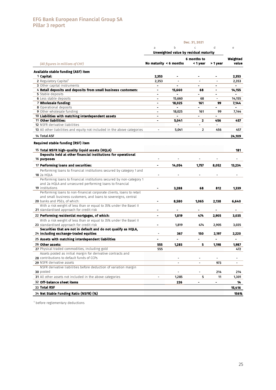|                                                                          | a                            | b                           | $\mathsf{C}$                          | d              | $\mathsf e$ |
|--------------------------------------------------------------------------|------------------------------|-----------------------------|---------------------------------------|----------------|-------------|
|                                                                          |                              |                             | Unweighted value by residual maturity |                |             |
|                                                                          |                              |                             | 6 months to                           |                | Weighted    |
| (All figures in millions of CHF)                                         |                              | No maturity $\leq 6$ months | < 1 year                              | > 1 year       | value       |
| Available stable funding (ASF) item                                      |                              |                             |                                       |                |             |
| 1 Capital:                                                               | 2,353                        |                             |                                       |                | 2,353       |
| 2 Regulatory Capital <sup>1</sup>                                        | 2,353                        |                             |                                       |                | 2,353       |
| 3 Other capital instruments                                              | $\blacksquare$               | $\blacksquare$              | ۰                                     | ۰              |             |
| 4 Retail deposits and deposits from small business customers:            |                              | 15,660                      | 68                                    | $\blacksquare$ | 14,155      |
| <b>5</b> Stable deposits                                                 | $\blacksquare$               |                             | ÷.                                    | ۰              |             |
| <b>6</b> Less stable deposits                                            |                              | 15,660                      | 68                                    | ۰              | 14,155      |
| 7 Wholesale funding:                                                     |                              | 18,025                      | 161                                   | 99             | 7.144       |
| 8 Operational deposits                                                   | $\blacksquare$               |                             | $\overline{\phantom{0}}$              |                |             |
| 9 Other wholesale funding                                                |                              | 18,025                      | 161                                   | 99             | 7,144       |
| 10 Liabilities with matching interdependent assets                       | $\blacksquare$               |                             | ÷                                     |                |             |
| 11 Other liabilities:                                                    | $\blacksquare$               | 5,041                       | $\mathbf{z}$                          | 456            | 457         |
| <b>12</b> NSFR derivative liabilities                                    |                              | $\blacksquare$              | $\blacksquare$                        | $\blacksquare$ |             |
| 13 All other liabilities and equity not included in the above categories | $\blacksquare$               | 5,041                       | 2                                     | 456            | 457         |
| <b>14 Total ASF</b>                                                      |                              |                             |                                       |                | 24,109      |
| <b>Required stable funding (RSF) item</b>                                |                              |                             |                                       |                |             |
| 15 Total NSFR high-quality liquid assets (HQLA)                          |                              |                             |                                       |                | 181         |
| Deposits held at other financial institutions for operational            |                              |                             |                                       |                |             |
| 16 purposes                                                              |                              |                             |                                       |                |             |
| 17 Performing loans and securities:                                      | ۰                            | 14,054                      | 1,757                                 | 8,052          | 13,234      |
| Performing loans to financial institutions secured by category 1 and     |                              |                             |                                       |                |             |
| <b>18</b> 2a HQLA                                                        | $\overline{a}$               |                             |                                       |                |             |
| Performing loans to financial institutions secured by non-category 1     |                              |                             |                                       |                |             |
| and 2a HQLA and unsecured performing loans to financial                  |                              |                             |                                       |                |             |
| 19 institutions                                                          |                              | 3,288                       | 68                                    | 812            | 1,339       |
| Performing loans to non-financial corporate clients, loans to retail     |                              |                             |                                       |                |             |
| and small business customers, and loans to sovereigns, central           |                              |                             |                                       |                |             |
| 20 banks and PSEs, of which:                                             |                              | 8,580                       | 1,065                                 | 2,138          | 6,640       |
| With a risk weight of less than or equal to 35% under the Basel II       |                              |                             |                                       |                |             |
| 21 standardised approach for credit risk                                 |                              |                             |                                       |                |             |
| 22 Performing residential mortgages, of which:                           | $\qquad \qquad \blacksquare$ | 1,819                       | 474                                   | 2,905          | 3.035       |
| With a risk weight of less than or equal to 35% under the Basel II       |                              |                             |                                       |                |             |
| 23 standardised approach for credit risk                                 | $\blacksquare$               | 1,819                       | 474                                   | 2,905          | 3,035       |
| Securities that are not in default and do not qualify as HQLA,           |                              |                             |                                       |                |             |
| 24 including exchange-traded equities                                    |                              | 367                         | 150                                   | 2,197          | 2,220       |
|                                                                          |                              |                             |                                       |                |             |
| 25 Assets with matching interdependent liabilities                       |                              |                             |                                       |                |             |
| 26 Other assets:                                                         | 555                          | 1,285                       | 5                                     | 1,198          | 1,987       |
| 27 Physical traded commodities, including gold                           | 555                          |                             |                                       |                | 472         |
| Assets posted as initial margin for derivative contracts and             |                              |                             |                                       |                |             |
| 28 contributions to default funds of CCPs                                |                              | $\blacksquare$              |                                       | ۰              |             |
| 29 NSFR derivative assets                                                |                              | $\blacksquare$              |                                       | 973            |             |
| NSFR derivative liabilities before deduction of variation margin         |                              |                             |                                       |                |             |
| 30 posted                                                                |                              | $\blacksquare$              | $\qquad \qquad \blacksquare$          | 214            | 214         |
| 31 All other assets not included in the above categories                 | $\blacksquare$               | 1,285                       | 5                                     | 11             | 1,301       |
| 32 Off-balance sheet items                                               |                              | 226                         | ۰                                     | -              | 14          |
| 33 Total RSF                                                             |                              |                             |                                       |                | 15,416      |
| 34 Net Stable Funding Ratio (NSFR) (%)                                   |                              |                             |                                       |                | 156%        |
|                                                                          |                              |                             |                                       |                |             |

<sup>1</sup> before reglementary deductions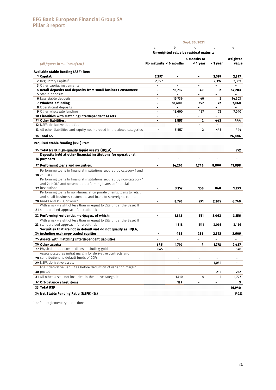|                                                                          |                |                                            | Sept. 30, 2021           |                          |                              |
|--------------------------------------------------------------------------|----------------|--------------------------------------------|--------------------------|--------------------------|------------------------------|
|                                                                          | a              | b<br>Unweighted value by residual maturity | C                        | d                        | e                            |
|                                                                          |                |                                            |                          |                          |                              |
| (All figures in millions of CHF)                                         |                | No maturity $\leq 6$ months                | 6 months to<br>< 1 year  | > 1 year                 | Weighted<br>value            |
| Available stable funding (ASF) item                                      |                |                                            |                          |                          |                              |
| 1 Capital:                                                               | 2,397          |                                            |                          | 2,397                    | 2,397                        |
| 2 Regulatory Capital <sup>1</sup>                                        | 2,397          |                                            |                          | 2,397                    | 2,397                        |
| 3 Other capital instruments                                              | $\blacksquare$ | $\blacksquare$                             | $\blacksquare$           | $\blacksquare$           |                              |
| 4 Retail deposits and deposits from small business customers:            | $\blacksquare$ | 15,739                                     | 40                       | 2                        | 14,203                       |
| 5 Stable deposits                                                        |                | $\blacksquare$                             | $\blacksquare$           | $\blacksquare$           |                              |
| <b>6</b> Less stable deposits                                            | $\blacksquare$ | 15,739                                     | 40                       | 2                        | 14,203                       |
| 7 Wholesale funding:                                                     | $\blacksquare$ | 18,600                                     | 157                      | 72                       | 7,040                        |
| 8 Operational deposits                                                   | $\blacksquare$ | $\qquad \qquad \blacksquare$               | $\frac{1}{2}$            | -                        |                              |
| <b>9</b> Other wholesale funding                                         |                | 18,600                                     | 157                      | 72                       | 7,040                        |
| 10 Liabilities with matching interdependent assets                       | ۰              | $\blacksquare$                             | $\blacksquare$           | $\overline{\phantom{a}}$ |                              |
| 11 Other liabilities:                                                    | $\blacksquare$ | 5,557                                      | $\mathbf{z}$             | 443                      | 444                          |
| <b>12</b> NSFR derivative liabilities                                    |                | $\blacksquare$                             | $\blacksquare$           | $\blacksquare$           |                              |
| 13 All other liabilities and equity not included in the above categories | $\blacksquare$ | 5,557                                      | $\overline{2}$           | 443                      | 444                          |
| <b>14 Total ASF</b>                                                      |                |                                            |                          |                          | 24,084                       |
| <b>Required stable funding (RSF) item</b>                                |                |                                            |                          |                          |                              |
| 15 Total NSFR high-quality liquid assets (HQLA)                          |                |                                            |                          |                          | 552                          |
| Deposits held at other financial institutions for operational            |                |                                            |                          |                          |                              |
| 16 purposes                                                              |                |                                            |                          |                          |                              |
| 17 Performing loans and securities:                                      | ۰              | 14,210                                     | 1,746                    | 8,800                    | 13,898                       |
| Performing loans to financial institutions secured by category 1 and     |                |                                            |                          |                          |                              |
| <b>18</b> 2a HQLA                                                        |                |                                            |                          |                          |                              |
| Performing loans to financial institutions secured by non-category 1     |                |                                            |                          |                          |                              |
| and 2a HQLA and unsecured performing loans to financial                  |                |                                            |                          |                          |                              |
| <b>19</b> institutions                                                   |                | 3,157                                      | 158                      | 840                      | 1,393                        |
| Performing loans to non-financial corporate clients, loans to retail     |                |                                            |                          |                          |                              |
| and small business customers, and loans to sovereigns, central           |                |                                            |                          |                          |                              |
| 20 banks and PSEs, of which:                                             |                | 8,770                                      | 791                      | 2,305                    | 6,740                        |
| With a risk weight of less than or equal to 35% under the Basel II       |                |                                            |                          |                          |                              |
| 21 standardised approach for credit risk                                 | $\blacksquare$ |                                            |                          |                          |                              |
| 22 Performing residential mortgages, of which:                           | ۰              | 1,818                                      | 511                      | 3,063                    | 3,156                        |
| With a risk weight of less than or equal to 35% under the Basel II       |                |                                            |                          |                          |                              |
| 23 standardised approach for credit risk                                 | $\blacksquare$ | 1,818                                      | 511                      | 3,063                    | 3,156                        |
| Securities that are not in default and do not qualify as HQLA,           |                |                                            |                          |                          |                              |
| 24 including exchange-traded equities                                    |                | 465                                        | 286                      | 2,592                    | 2,609                        |
| 25 Assets with matching interdependent liabilities                       |                |                                            |                          | $\blacksquare$           |                              |
| 26 Other assets:                                                         | 645            | 1,710                                      | 4                        | 1,278                    | 2,487                        |
| 27 Physical traded commodities, including gold                           | 645            |                                            |                          |                          | 548                          |
| Assets posted as initial margin for derivative contracts and             |                |                                            |                          |                          |                              |
| 28 contributions to default funds of CCPs                                |                |                                            |                          |                          | $\qquad \qquad \blacksquare$ |
| 29 NSFR derivative assets                                                |                | $\overline{a}$                             |                          |                          |                              |
| NSFR derivative liabilities before deduction of variation margin         |                |                                            |                          | 1,054                    | $\blacksquare$               |
|                                                                          |                |                                            |                          |                          |                              |
| 30 posted                                                                |                |                                            | $\overline{\phantom{0}}$ | 212                      | 212                          |
| 31 All other assets not included in the above categories                 | $\blacksquare$ | 1,710                                      | 4                        | 12                       | 1,727                        |
| 32 Off-balance sheet items                                               |                | 129                                        | ۰                        | -                        | 3                            |
| 33 Total RSF                                                             |                |                                            |                          |                          | 16,940                       |
| 34 Net Stable Funding Ratio (NSFR) (%)                                   |                |                                            |                          |                          | 142%                         |

1 before reglementary deductions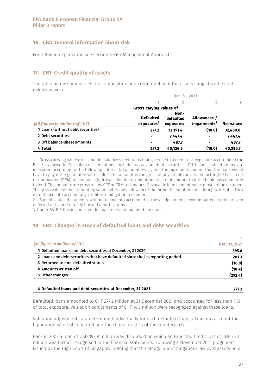### 16. CRA: General information about risk

For detailed explanation see section 3 Risk Management Approach.

### 17. CR1: Credit quality of assets

The table below summarises the composition and credit quality of the assets subject to the credit risk framework.

|                                   | Dec. 31, 2021                        |           |                          |                   |  |  |  |  |  |
|-----------------------------------|--------------------------------------|-----------|--------------------------|-------------------|--|--|--|--|--|
|                                   | a                                    | b         |                          | d                 |  |  |  |  |  |
|                                   | Gross carying values of <sup>1</sup> |           |                          |                   |  |  |  |  |  |
|                                   |                                      | Non-      |                          |                   |  |  |  |  |  |
|                                   | <b>Defaulted</b>                     | defaulted | Allowances /             |                   |  |  |  |  |  |
| (All figures in millions of CHF)  | exposures <sup>3</sup>               | exposures | impairments <sup>2</sup> | <b>Net values</b> |  |  |  |  |  |
| 1 Loans (without debt securities) | 277.2                                | 32,191.4  | (18.0)                   | 32,450.6          |  |  |  |  |  |
| 2 Debt securities                 | ۰                                    | 7.447.4   | ۰                        | 7.447.4           |  |  |  |  |  |
| 3 Off balance-sheet amounts       |                                      | 487.7     | ۰                        | 487.7             |  |  |  |  |  |
| 4 Total                           | 277.2                                | 40.126.5  | (18.0)                   | 40.385.7          |  |  |  |  |  |

1. Gross carrying values: on- and off-balance sheet items that give rise to a credit risk exposure according to the Basel framework. On-balance sheet items include loans and debt securities. Off-balance sheet items are measured according to the following criteria: (a) guarantees given – the maximum amount that the bank would have to pay if the guarantee were called. The amount is the gross of any credit conversion factor (CCF) or credit risk mitigation (CRM) techniques. (b) Irrevocable loan commitments – total amount that the bank has committed to lend. The amounts are gross of any CCF or CRM techniques. Revocable loan commitments must not be included. The gross value is the accounting value before any allowance/impairments but after considering write-offs. They do not take into account any credit risk mitigation technique.

2. Sum of value adjustments, without taking into account, that these adjustments cover impaired credits or even deferred risks, and directly booked amortisations.

3. Under SA-BIS this includes credits past due and impaired positions.

### 18. CR2: Changes in stock of defaulted loans and debt securities

| Dec. 31, 2021 |
|---------------|
| 395.6         |
| 201.3         |
| (16.9)        |
| (10.4)        |
| (292.4)       |
|               |

#### 6 277.2 Defaulted loans and debt securities at December, 31 2021

Defaulted loans amounted to CHF 277.2 million at 31 December 2021 and accounted for less than 1 % of total exposure. Valuation adjustments of CHF 14.3 million were recognized against these loans.

Valuation adjustments are determined individually for each defaulted loan, taking into account the liquidation value of collateral and the characteristics of the counterparty.

Back in 2007 a loan of USD 193.8 million was disbursed on which an Expected Credit loss of CHF 75.3 million was further recognised in the financial statements. Following a November 2021 judgement issued by the High Court of Singapore holding that the pledge under Singapore law over assets held

277.2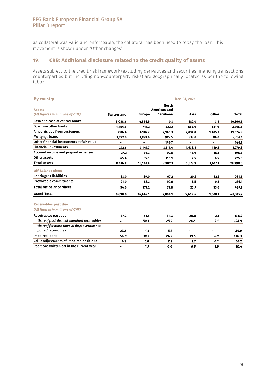as collateral was valid and enforceable, the collateral has been used to repay the loan. This movement is shown under "Other changes".

### 19. CRB: Additional disclosure related to the credit quality of assets

Assets subject to the credit risk framework (excluding derivatives and securities financing transactions counterparties but including non-counterparty risks) are geographically located as per the following table:

| <b>By country</b>                         | Dec. 31, 2021                       |               |           |         |              |              |  |  |  |
|-------------------------------------------|-------------------------------------|---------------|-----------|---------|--------------|--------------|--|--|--|
| <b>Assets</b>                             | <b>North</b><br><b>Americas and</b> |               |           |         |              |              |  |  |  |
| (All figures in millions of CHF)          | Switzerland                         | <b>Europe</b> | Carribean | Asia    | <b>Other</b> | <b>Total</b> |  |  |  |
| Cash and cash at central banks            | 5.088.6                             | 4.891.9       | 0.3       | 182.0   | 3.8          | 10,166.6     |  |  |  |
| Due from other banks                      | 1.164.6                             | 711.2         | 522.2     | 665.9   | 181.9        | 3.245.8      |  |  |  |
| <b>Amounts due from customers</b>         | 806.4                               | 4,102.7       | 2,945.3   | 2,834.8 | 1,185.3      | 11,874.5     |  |  |  |
| Mortgage loans                            | 1,242.0                             | 3,188.6       | 915.5     | 333.0   | 84.0         | 5,763.1      |  |  |  |
| Other financial instruments at fair value | ä,                                  | ۰             | 146.7     |         |              | 146.7        |  |  |  |
| <b>Financial investments</b>              | 242.6                               | 3,141.7       | 3.117.4   | 1.638.8 | 139.3        | 8,279.8      |  |  |  |
| Accrued income and prepaid expenses       | 27.2                                | 96.3          | 39.8      | 16.9    | 16.3         | 196.5        |  |  |  |
| Other assets                              | 65.4                                | 35.5          | 115.1     | 2.5     | 6.5          | 225.0        |  |  |  |
| Total assets                              | 8,636.8                             | 16,167.9      | 7,802.3   | 5,673.9 | 1,617.1      | 39,898.0     |  |  |  |
| <b>Off Balance sheet</b>                  |                                     |               |           |         |              |              |  |  |  |
| <b>Contingent liabilities</b>             | 33.0                                | 89.0          | 67.2      | 20.2    | 52.2         | 261.6        |  |  |  |
| <b>Irrevocable commitments</b>            | 21.0                                | 188.2         | 10.6      | 5.5     | 0.8          | 226.1        |  |  |  |
| <b>Total off balance sheet</b>            | 54.0                                | 277.2         | 77.8      | 25.7    | 53.0         | 487.7        |  |  |  |
| <b>Grand Total</b>                        | 8.690.8                             | 16,445.1      | 7,880.1   | 5,699.6 | 1,670.1      | 40,385.7     |  |  |  |
| <b>Receivables past due</b>               |                                     |               |           |         |              |              |  |  |  |
| (All figures in millions of CHF)          |                                     |               |           |         |              |              |  |  |  |
| Receivables past due                      | 27.2                                | 51.5          | 31.3      | 26.8    | 2.1          | 138.9        |  |  |  |
| thereof past due not impaired receivables | $\blacksquare$                      | 50.1          | 25.9      | 26.8    | 2.1          | 104.9        |  |  |  |
| thereof for more than 90 days overdue not |                                     |               |           |         |              |              |  |  |  |
| impaired receivables                      | 27.2                                | 1.4           | 5.4       |         |              | 34.0         |  |  |  |
| <b>Impaired loans</b>                     | 56.9                                | 30.7          | 24.3      | 19.5    | 6.9          | 138.3        |  |  |  |
| Value adjustments of impaired positions   | 4.2                                 | 6.0           | 2.2       | 1.7     | 0.1          | 14.2         |  |  |  |
| Positions written off in the current year | -                                   | 1.9           | 0.0       | 6.9     | 1.6          | 10.4         |  |  |  |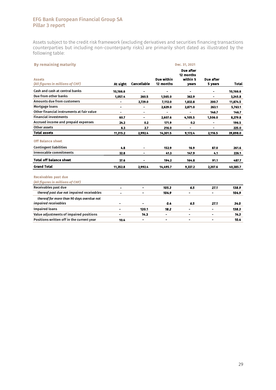Assets subject to the credit risk framework (excluding derivatives and securities financing transactions counterparties but including non-counterparty risks) are primarily short dated as illustrated by the following table:

| <b>By remaining maturity</b>              |                |                          |                              | Dec. 31, 2021          |                |              |
|-------------------------------------------|----------------|--------------------------|------------------------------|------------------------|----------------|--------------|
|                                           |                |                          |                              | Due after<br>12 months |                |              |
| <b>Assets</b>                             |                |                          | Due within                   | within 5               | Due after      |              |
| (All figures in millions of CHF)          | At sight       | <b>Cancellable</b>       | 12 months                    | <b>vears</b>           | 5 years        | <b>Total</b> |
| Cash and cash at central banks            | 10,166.6       |                          |                              |                        |                | 10,166.6     |
| Due from other banks                      | 1.057.4        | 260.5                    | 1.565.0                      | 362.9                  |                | 3,245.8      |
| <b>Amounts due from customers</b>         |                | 2,729.0                  | 7,112.0                      | 1,832.8                | 200.7          | 11,874.5     |
| Mortgage loans                            |                | -                        | 2,629.0                      | 2,871.0                | 263.1          | 5,763.1      |
| Other financial instruments at fair value | $\blacksquare$ | ۰                        |                              |                        | 146.7          | 146.7        |
| <b>Financial investments</b>              | 60.7           | $\overline{\phantom{0}}$ | 2,607.6                      | 4,105.5                | 1,506.0        | 8,279.8      |
| Accrued income and prepaid expenses       | 24.2           | 0.2                      | 171.9                        | 0.2                    |                | 196.5        |
| Other assets                              | 6.3            | 2.7                      | 216.0                        |                        | ٠              | 225.0        |
| <b>Total assets</b>                       | 11,315.2       | 2,992.4                  | 14,301.5                     | 9,172.4                | 2,116.5        | 39,898.0     |
| <b>Off Balance sheet</b>                  |                |                          |                              |                        |                |              |
| <b>Contingent liabilities</b>             | 4.8            |                          | 152.9                        | 16.9                   | 87.0           | 261.6        |
| <b>Irrevocable commitments</b>            | 32.8           | $\blacksquare$           | 41.3                         | 147.9                  | 4.1            | 226.1        |
| <b>Total off balance sheet</b>            | 37.6           |                          | 194.2                        | 164.8                  | 91.1           | 487.7        |
| <b>Grand Total</b>                        | 11,352.8       | 2,992.4                  | 14,495.7                     | 9,337.2                | 2,207.6        | 40,385.7     |
| <b>Receivables past due</b>               |                |                          |                              |                        |                |              |
| (All figures in millions of CHF)          |                |                          |                              |                        |                |              |
| Receivables past due                      | $\blacksquare$ | $\blacksquare$           | 105.3                        | 6.5                    | 27.1           | 138.9        |
| thereof past due not impaired receivables | -              | $\overline{a}$           | 104.9                        | $\overline{a}$         |                | 104.9        |
| thereof for more than 90 days overdue not |                |                          |                              |                        |                |              |
| impaired receivables                      |                |                          | 0.4                          | 6.5                    | 27.1           | 34.0         |
| <b>Impaired loans</b>                     |                | 120.1                    | 18.2                         | L.                     |                | 138.3        |
| Value adjustments of impaired positions   | $\blacksquare$ | 14.3                     | $\qquad \qquad \blacksquare$ | $\blacksquare$         |                | 14.3         |
| Positions written off in the current year | 10.4           | $\blacksquare$           | -                            | $\blacksquare$         | $\blacksquare$ | 10.4         |
|                                           |                |                          |                              |                        |                |              |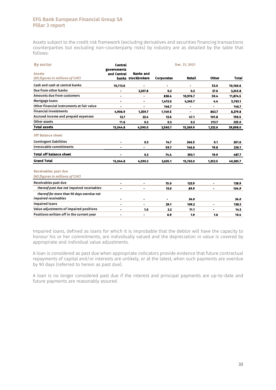Assets subject to the credit risk framework (excluding derivatives and securities financing transactions counterparties but excluding non-counterparty risks) by industry are as detailed by the table that follows:

| <b>By sector</b>                          | <b>Central</b><br>governments |                          |                   | Dec. 31, 2021 |                          |              |
|-------------------------------------------|-------------------------------|--------------------------|-------------------|---------------|--------------------------|--------------|
| <b>Assets</b>                             | and Central                   | <b>Banks and</b>         |                   |               |                          |              |
| (All figures in millions of CHF)          |                               | banks stockbrokers       | <b>Corporates</b> | <b>Retail</b> | Other                    | <b>Total</b> |
| Cash and cash at central banks            | 10,113.6                      |                          |                   |               | 53.0                     | 10,166.6     |
| Due from other banks                      | $\blacksquare$                | 3,207.8                  | 0.2               | 0.2           | 37.6                     | 3,245.8      |
| <b>Amounts due from customers</b>         | $\blacksquare$                | -                        | 838.4             | 10,976.7      | 59.4                     | 11,874.5     |
| Mortgage loans                            | $\blacksquare$                | $\blacksquare$           | 1,413.0           | 4,345.7       | 4.4                      | 5,763.1      |
| Other financial instruments at fair value | $\blacksquare$                | $\overline{\phantom{0}}$ | 146.7             | -             | Ξ.                       | 146.7        |
| <b>Financial investments</b>              | 4.906.9                       | 1,359.7                  | 1,149.5           |               | 863.7                    | 8,279.8      |
| Accrued income and prepaid expenses       | 12.7                          | 22.4                     | 12.6              | 47.1          | 101.8                    | 196.5        |
| Other assets                              | 11.6                          | 0.2                      | 0.3               | 0.2           | 212.7                    | 225.0        |
| <b>Total assets</b>                       | 15,044.8                      | 4,590.0                  | 3,560.7           | 15,369.9      | 1,332.6                  | 39,898.0     |
| <b>Off Balance sheet</b>                  |                               |                          |                   |               |                          |              |
| <b>Contingent liabilities</b>             |                               | 0.3                      | 14.7              | 246.5         | 0.1                      | 261.6        |
| <b>Irrevocable commitments</b>            | $\overline{\phantom{a}}$      | $\blacksquare$           | 59.7              | 146.6         | 19.8                     | 226.1        |
| <b>Total off balance sheet</b>            |                               | 0.3                      | 74.4              | 393.1         | 19.9                     | 487.7        |
| <b>Grand Total</b>                        | 15,044.8                      | 4,590.3                  | 3,635.1           | 15,763.0      | 1,352.5                  | 40,385.7     |
| <b>Receivables past due</b>               |                               |                          |                   |               |                          |              |
| (All figures in millions of CHF)          |                               |                          |                   |               |                          |              |
| Receivables past due                      | $\blacksquare$                | ۰                        | 15.0              | 123.9         | -                        | 138.9        |
| thereof past due not impaired receivables | $\blacksquare$                | -                        | 15.0              | 89.9          | $\overline{\phantom{0}}$ | 104.9        |
| thereof for more than 90 days overdue not |                               |                          |                   |               |                          |              |
| impaired receivables                      | $\blacksquare$                | ۰                        |                   | 34.0          |                          | 34.0         |
| <b>Impaired loans</b>                     | $\blacksquare$                | ۰                        | 29.1              | 109.2         | ۰                        | 138.3        |
| Value adjustments of impaired positions   | $\blacksquare$                | 1.0                      | 2.2               | 11.1          |                          | 14.3         |
| Positions written off in the current year | ۰                             | ٠                        | 6.9               | 1.9           | 1.6                      | 10.4         |

Impaired loans, defined as loans for which it is improbable that the debtor will have the capacity to honour his or her commitments, are individually valued and the depreciation in value is covered by appropriate and individual value adjustments.

A loan is considered as past due when appropriate indicators provide evidence that future contractual repayments of capital and/or interests are unlikely, or at the latest, when such payments are overdue by 90 days (referred to herein as past due).

A loan is no longer considered past due if the interest and principal payments are up-to-date and future payments are reasonably assured.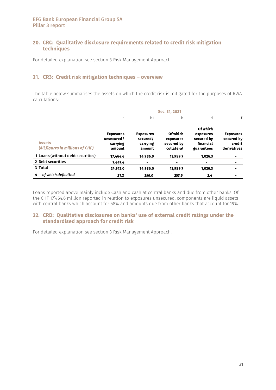### 20. CRC: Qualitative disclosure requirements related to credit risk mitigation techniques

For detailed explanation see section 3 Risk Management Approach.

### 21. CR3: Credit risk mitigation techniques – overview

The table below summarises the assets on which the credit risk is mitigated for the purposes of RWA calculations:

|                                                   | Dec. 31, 2021                                        |                                                    |                                                          |                                                                |                                                         |  |  |  |  |  |
|---------------------------------------------------|------------------------------------------------------|----------------------------------------------------|----------------------------------------------------------|----------------------------------------------------------------|---------------------------------------------------------|--|--|--|--|--|
|                                                   | a                                                    | b1                                                 | b                                                        | d                                                              | f                                                       |  |  |  |  |  |
| <b>Assets</b><br>(All figures in millions of CHF) | <b>Exposures</b><br>unsecured/<br>carrying<br>amount | <b>Exposures</b><br>secured/<br>carrying<br>amount | <b>Of which</b><br>exposures<br>secured by<br>collateral | Of which<br>exposures<br>secured by<br>financial<br>guarantees | <b>Exposures</b><br>secured by<br>credit<br>derivatives |  |  |  |  |  |
| 1 Loans (without debt securities)                 | 17.464.6                                             | 14,986.0                                           | 13,959.7                                                 | 1.026.3                                                        | ۰                                                       |  |  |  |  |  |
| 2 Debt securities                                 | 7.447.4                                              | $\blacksquare$                                     | $\blacksquare$                                           | $\blacksquare$                                                 |                                                         |  |  |  |  |  |
| 3 Total                                           | 24,912.0                                             | 14,986.0                                           | 13,959.7                                                 | 1.026.3                                                        |                                                         |  |  |  |  |  |
| of which defaulted<br>4                           | 21.2                                                 | 256.0                                              | 253.6                                                    | 2.4                                                            |                                                         |  |  |  |  |  |

Loans reported above mainly include Cash and cash at central banks and due from other banks. Of the CHF 17'464.6 million reported in relation to exposures unsecured, components are liquid assets with central banks which account for 58% and amounts due from other banks that account for 19%.

### 22. CRD: Qualitative disclosures on banks' use of external credit ratings under the standardised approach for credit risk

For detailed explanation see section 3 Risk Management Approach.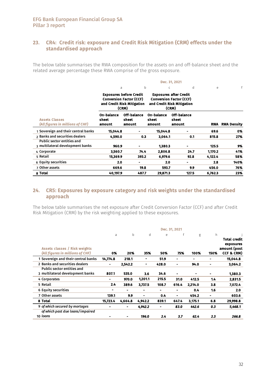### 23. CR4: Credit risk: exposure and Credit Risk Mitigation (CRM) effects under the standardised approach

The below table summarises the RWA composition for the assets on and off-balance sheet and the related average percentage these RWA comprise of the gross exposure.

|                                                                       |                               |                                                                                                         |                               | Dec. 31, 2021                                                                                          |            |                    |
|-----------------------------------------------------------------------|-------------------------------|---------------------------------------------------------------------------------------------------------|-------------------------------|--------------------------------------------------------------------------------------------------------|------------|--------------------|
|                                                                       | a                             | b                                                                                                       | C                             | d                                                                                                      | е          | f                  |
|                                                                       |                               | <b>Exposures before Credit</b><br><b>Conversion Factor (CCF)</b><br>and Credit Risk Mitigation<br>(CRM) |                               | <b>Exposures after Credit</b><br><b>Conversion Factor (CCF)</b><br>and Credit Risk Mitigation<br>(CRM) |            |                    |
| <b>Assets Classes</b><br>(All figures in millions of CHF)             | On-balance<br>sheet<br>amount | Off-balance<br>sheet<br>amount                                                                          | On-balance<br>sheet<br>amount | Off-balance<br>sheet<br>amount                                                                         | <b>RWA</b> | <b>RWA Density</b> |
| 1 Sovereign and their central banks                                   | 15,044.8                      |                                                                                                         | 15,044.8                      |                                                                                                        | 69.6       | 0%                 |
| 2 Banks and securities dealers                                        | 4,590.0                       | 0.3                                                                                                     | 3,064.1                       | 0.1                                                                                                    | 815.8      | 27%                |
| <b>Public sector entities and</b><br>3 multilateral development banks | 960.9                         |                                                                                                         | 1.380.3                       |                                                                                                        | 125.5      | 9%                 |
| 4 Corporate                                                           | 3,560.7                       | 74.4                                                                                                    | 2,806.8                       | 24.7                                                                                                   | 1,170.2    | 41%                |
| 5 Retail                                                              | 15,369.9                      | 393.2                                                                                                   | 6,979.6                       | 92.8                                                                                                   | 4,122.4    | 58%                |
| 6 Equity securities                                                   | 2.0                           | ۰                                                                                                       | 2.0                           |                                                                                                        | 2.8        | 140%               |
| 7 Other assets                                                        | 669.6                         | 19.8                                                                                                    | 593.7                         | 9.9                                                                                                    | 456.0      | 76%                |
| 8 Total                                                               | 40,197.9                      | 487.7                                                                                                   | 29,871.3                      | 127.5                                                                                                  | 6,762.3    | 23%                |

### 24. CR5: Exposures by exposure category and risk weights under the standardised approach

The below table summarises the net exposure after Credit Conversion Factor (CCF) and after Credit Risk Mitigation (CRM) by the risk weighting applied to these exposures.

|                                                                          | Dec. 31, 2021 |         |                |            |                          |         |                |                                         |
|--------------------------------------------------------------------------|---------------|---------|----------------|------------|--------------------------|---------|----------------|-----------------------------------------|
|                                                                          | a             | b       | d              | $\epsilon$ | f                        | g       | h              | Total credit                            |
| <b>Assets classes / Risk weights</b><br>(All figures in millions of CHF) | 0%            | 20%     | 35%            | 50%        | 75%                      | 100%    | 150%           | exposures<br>amount (post<br>CCF & CRM) |
| 1 Sovereign and their central banks                                      | 14,774.8      | 218.1   |                | 51.9       | -                        | -       | -              | 15,044.8                                |
| 2 Banks and securities dealers                                           | ۰.            | 2.542.2 | ۰              | 428.0      | ۰                        | 94.0    | ۰.             | 3,064.2                                 |
| <b>Public sector entities and</b>                                        |               |         |                |            |                          |         |                |                                         |
| 3 multilateral development banks                                         | 807.1         | 535.0   | 3.6            | 34.6       | $\overline{\phantom{0}}$ |         |                | 1,380.3                                 |
| 4 Corporates                                                             | ۰             | 970.0   | 1.201.1        | 215.5      | 31.0                     | 412.5   | 1.4            | 2,831.5                                 |
| 5 Retail                                                                 | 2.4           | 389.6   | 3,737.5        | 108.7      | 616.4                    | 2,214.0 | 3.8            | 7,072.4                                 |
| <b>6 Equity securities</b>                                               | ۰             | -       | $\blacksquare$ | ۰.         | -                        | 0.4     | 1.6            | 2.0                                     |
| 7 Other assets                                                           | 139.1         | 9.9     | $\blacksquare$ | 0.4        |                          | 454.2   | $\blacksquare$ | 603.6                                   |
| 8 Total                                                                  | 15,723.4      | 4.664.8 | 4.942.2        | 839.1      | 647.4                    | 3,175.1 | 6.8            | 29,998.8                                |
| 9 of which secured by mortages                                           | -             | -       | 4.942.2        | -          | 83.0                     | 442.6   | 0.3            | 5,468.1                                 |
| of which past due loans/impaired                                         |               |         |                |            |                          |         |                |                                         |
| 10 loans                                                                 |               | ۰       | 196.0          | 2.4        | 3.7                      | 62.4    | 2.3            | 266.8                                   |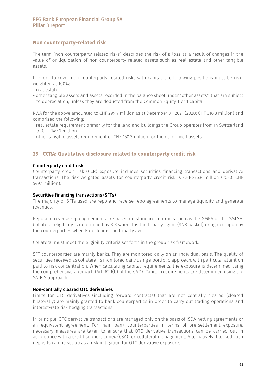### Non counterparty-related risk

The term "non-counterparty-related risks" describes the risk of a loss as a result of changes in the value of or liquidation of non-counterparty related assets such as real estate and other tangible assets.

In order to cover non-counterparty-related risks with capital, the following positions must be riskweighted at 100%:

- real estate
- other tangible assets and assets recorded in the balance sheet under "other assets", that are subject to depreciation, unless they are deducted from the Common Equity Tier 1 capital.

RWA for the above amounted to CHF 299.9 million as at December 31, 2021 (2020: CHF 316.8 million) and comprised the following:

- real estate requirement primarily for the land and buildings the Group operates from in Switzerland of CHF 149.6 million
- other tangible assets requirement of CHF 150.3 million for the other fixed assets.

### 25. CCRA: Qualitative disclosure related to counterparty credit risk

#### Counterparty credit risk

Counterparty credit risk (CCR) exposure includes securities financing transactions and derivative transactions. The risk weighted assets for counterparty credit risk is CHF 276.8 million (2020: CHF 549.1 million).

#### Securities financing transactions (SFTs)

The majority of SFTs used are repo and reverse repo agreements to manage liquidity and generate revenues.

Repo and reverse repo agreements are based on standard contracts such as the GMRA or the GMLSA. Collateral eligibility is determined by SIX when it is the triparty agent (SNB basket) or agreed upon by the counterparties when Euroclear is the triparty agent.

Collateral must meet the eligibility criteria set forth in the group risk framework.

SFT counterparties are mainly banks. They are monitored daily on an individual basis. The quality of securities received as collateral is monitored daily using a portfolio approach, with particular attention paid to risk concentration. When calculating capital requirements, the exposure is determined using the comprehensive approach (Art. 62.1(b) of the CAO). Capital requirements are determined using the SA-BIS approach.

#### Non-centrally cleared OTC derivatives

Limits for OTC derivatives (including forward contracts) that are not centrally cleared (cleared bilaterally) are mainly granted to bank counterparties in order to carry out trading operations and interest-rate risk hedging transactions.

In principle, OTC derivative transactions are managed only on the basis of ISDA netting agreements or an equivalent agreement. For main bank counterparties in terms of pre-settlement exposure, necessary measures are taken to ensure that OTC derivative transactions can be carried out in accordance with a credit support annex (CSA) for collateral management. Alternatively, blocked cash deposits can be set up as a risk mitigation for OTC derivative exposure.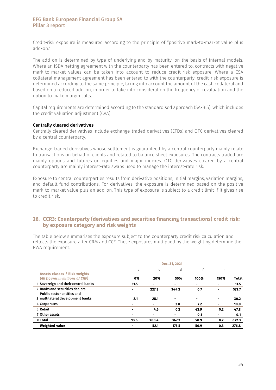Credit-risk exposure is measured according to the principle of "positive mark-to-market value plus add-on."

The add-on is determined by type of underlying and by maturity, on the basis of internal models. Where an ISDA netting agreement with the counterparty has been entered to, contracts with negative mark-to-market values can be taken into account to reduce credit-risk exposure. Where a CSA collateral management agreement has been entered to with the counterparty, credit-risk exposure is determined according to the same principle, taking into account the amount of the cash collateral and based on a reduced add-on, in order to take into consideration the frequency of revaluation and the option to make margin calls.

Capital requirements are determined according to the standardised approach (SA-BIS), which includes the credit valuation adjustment (CVA).

#### Centrally cleared derivatives

Centrally cleared derivatives include exchange-traded derivatives (ETDs) and OTC derivatives cleared by a central counterparty.

Exchange-traded derivatives whose settlement is guaranteed by a central counterparty mainly relate to transactions on behalf of clients and related to balance sheet exposures. The contracts traded are mainly options and futures on equities and major indexes. OTC derivatives cleared by a central counterparty are mainly interest-rate swaps used to manage the interest-rate risk.

Exposure to central counterparties results from derivative positions, initial margins, variation margins, and default fund contributions. For derivatives, the exposure is determined based on the positive mark-to-market value plus an add-on. This type of exposure is subject to a credit limit if it gives rise to credit risk.

### 26. CCR3: Counterparty (derivatives and securities financing transactions) credit risk: by exposure category and risk weights

The table below summarises the exposure subject to the counterparty credit risk calculation and reflects the exposure after CRM and CCF. These exposures multiplied by the weighting determine the RWA requirement.

|                                     | Dec. 31, 2021 |              |                          |                |      |       |  |  |
|-------------------------------------|---------------|--------------|--------------------------|----------------|------|-------|--|--|
| Assets classes / Risk weights       | a             | $\mathsf{C}$ | d                        | $\mathsf{f}$   | h.   |       |  |  |
| (All figures in millions of CHF)    | 0%            | 20%          | 50%                      | 100%           | 150% | Total |  |  |
| 1 Sovereign and their central banks | 11.5          | -            | $\overline{\phantom{a}}$ | -              |      | 11.5  |  |  |
| 2 Banks and securities dealers      |               | 227.8        | 344.2                    | 0.7            |      | 572.7 |  |  |
| <b>Public sector entities and</b>   |               |              |                          |                |      |       |  |  |
| 3 multilateral development banks    | 2.1           | 28.1         | $\blacksquare$           | $\blacksquare$ |      | 30.2  |  |  |
| 4 Corporates                        |               |              | 2.8                      | 7.2            |      | 10.0  |  |  |
| 5 Retail                            | ۰             | 4.5          | 0.2                      | 42.9           | 0.2  | 47.8  |  |  |
| 7 Other assets                      | ۰             |              | ۰                        | 0.1            |      | 0.1   |  |  |
| 9 Total                             | 13.6          | 260.4        | 347.2                    | 50.9           | 0.2  | 672.3 |  |  |
| <b>Weighted value</b>               |               | 52.1         | 173.5                    | 50.9           | 0.3  | 276.8 |  |  |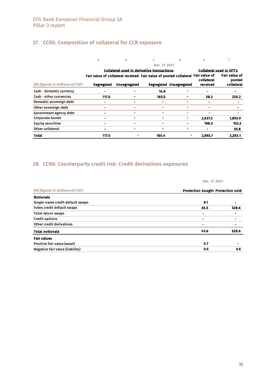## 27. CCR5: Composition of collateral for CCR exposure

|                                  | a                                                                               | h                   | $\mathsf{C}$                                      | d                       | е              |                                 |
|----------------------------------|---------------------------------------------------------------------------------|---------------------|---------------------------------------------------|-------------------------|----------------|---------------------------------|
|                                  |                                                                                 |                     | Dec. 31 2021                                      |                         |                |                                 |
|                                  |                                                                                 |                     | <b>Collateral used in derivative transactions</b> |                         |                | <b>Collateral used in SFT's</b> |
|                                  | Fair value of collateral received Fair value of posted collateral Fair value of |                     |                                                   |                         | collateral     | <b>Fair value of</b><br>posted  |
| (All figures in millions of CHF) | <b>Segregated</b>                                                               | <b>Unsegregated</b> |                                                   | Segregated Unsegregated | received       | collateral                      |
| Cash - domestic currency         | $\blacksquare$                                                                  |                     | 14.9                                              |                         |                |                                 |
| <b>Cash - other currencies</b>   | 117.5                                                                           |                     | 165.5                                             |                         | 58.2           | 220.2                           |
| Domestic sovereign debt          |                                                                                 |                     |                                                   |                         |                |                                 |
| Other sovereign debt             | $\blacksquare$                                                                  |                     |                                                   |                         | -              |                                 |
| Government agency debt           | $\blacksquare$                                                                  |                     |                                                   |                         | $\blacksquare$ |                                 |
| <b>Corporate bonds</b>           | -                                                                               |                     |                                                   |                         | 2.637.2        | 1,853.9                         |
| <b>Equity securities</b>         | $\blacksquare$                                                                  |                     |                                                   |                         | 198.3          | 153.2                           |
| Other collateral                 | $\blacksquare$                                                                  |                     |                                                   |                         |                | 55.8                            |
| <b>Total</b>                     | 117.5                                                                           |                     | 180.4                                             |                         | 2,893.7        | 2,283.1                         |

### 28. CCR6: Counterparty credit risk: Credit derivatives exposures

|                                  | Dec. 31 2021                      |       |  |  |
|----------------------------------|-----------------------------------|-------|--|--|
| (All figures in millions of CHF) | Protection bought Protection sold |       |  |  |
| <b>Notionals</b>                 |                                   |       |  |  |
| Single-name credit default swaps | 9.1                               |       |  |  |
| Index credit default swaps       | 36.5                              | 528.6 |  |  |
| Total return swaps               | $\blacksquare$                    |       |  |  |
| <b>Credit options</b>            | ٠                                 |       |  |  |
| Other credit derivatives         | $\blacksquare$                    |       |  |  |
| <b>Total notionals</b>           | 45.6                              | 528.6 |  |  |
| <b>Fair values</b>               |                                   |       |  |  |
| Positive fair value (asset)      | 0.7                               |       |  |  |
| Negative fair value (liability)  | 0.5                               | 5.6   |  |  |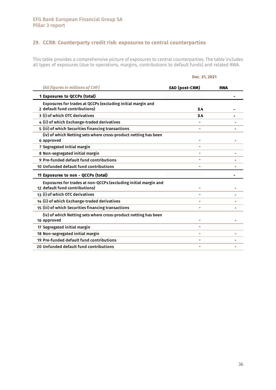### 29. CCR8: Counterparty credit risk: exposures to central counterparties

This table provides a comprehensive picture of exposures to central counterparties. The table includes all types of exposures (due to operations, margins, contributions to default funds) and related RWA.

#### Dec. 31, 2021

| (All figures in millions of CHF)                                                                  | EAD (post-CRM) | <b>RWA</b> |
|---------------------------------------------------------------------------------------------------|----------------|------------|
| 1 Exposures to QCCPs (total)                                                                      |                |            |
| Exposures for trades at QCCPs (excluding initial margin and<br>2 default fund contributions)      | 3.4            |            |
| 3 (i) of which OTC derivatives                                                                    | 3.4            |            |
| 4 (ii) of which Exchange-traded derivatives                                                       |                |            |
| 5 (iii) of which Securities financing transactions                                                |                |            |
| (iv) of which Netting sets where cross-product netting has been<br>6 approved                     |                |            |
| 7 Segregated initial margin                                                                       |                |            |
| 8 Non-segregated initial margin                                                                   |                |            |
| 9 Pre-funded default fund contributions                                                           |                |            |
| 10 Unfunded default fund contributions                                                            |                |            |
| 11 Exposures to non - QCCPs (total)                                                               |                |            |
| Exposures for trades at non-QCCPs (excluding initial margin and<br>12 default fund contributions) |                |            |
| 13 (i) of which OTC derivatives                                                                   |                |            |
| 14 (ii) of which Exchange-traded derivatives                                                      |                |            |
| 15 (iii) of which Securities financing transactions                                               |                |            |
| (iv) of which Netting sets where cross-product netting has been<br>16 approved                    |                |            |
| 17 Segregated initial margin                                                                      |                |            |
| 18 Non-segregated initial margin                                                                  |                |            |
| 19 Pre-funded default fund contributions                                                          |                |            |
| 20 Unfunded default fund contributions                                                            |                |            |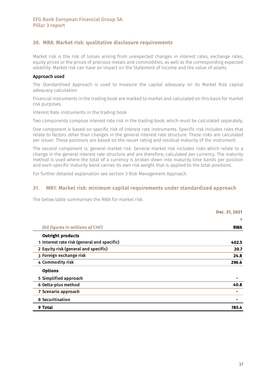### 30. MRA: Market risk: qualitative disclosure requirements

Market risk is the risk of losses arising from unexpected changes in interest rates, exchange rates, equity prices or the prices of precious metals and commodities, as well as the corresponding expected volatility. Market risk can have an impact on the Statement of Income and the value of assets.

#### Approach used

The Standardised Approach is used to measure the capital adequacy on its Market Risk capital adequacy calculation.

Financial instruments in the trading book are marked to market and calculated on this basis for market risk purposes.

Interest Rate instruments in the trading book

Two components compose interest rate risk in the trading book, which must be calculated separately.

One component is based on specific risk of interest rate instruments. Specific risk includes risks that relate to factors other than changes in the general interest rate structure. These risks are calculated per issuer. These positions are based on the issuer rating and residual maturity of the instrument.

The second component is: general market risk. General market risk includes risks which relate to a change in the general interest rate structure and are therefore, calculated per currency. The maturity method is used where the total of a currency is broken down into maturity time bands per position and each specific maturity band carries its own risk weight that is applied to the total positions.

For further detailed explanation see section 3 Risk Management Approach.

### 31. MR1: Market risk: minimum capital requirements under standardized approach

The below table summarises the RWA for market risk:

|                                             | Dec. 31, 2021 |
|---------------------------------------------|---------------|
|                                             | а             |
| (All figures in millions of CHF)            | <b>RWA</b>    |
| <b>Outright products</b>                    |               |
| 1 Interest rate risk (general and specific) | 402.5         |
| 2 Equity risk (general and specific)        | 20.7          |
| 3 Foreign exchange risk                     | 24.8          |
| 4 Commodity risk                            | 296.6         |
| <b>Options</b>                              |               |
| 5 Simplified approach                       |               |
| 6 Delta-plus method                         | 40.8          |
| 7 Scenario approach                         |               |
| 8 Securitisation                            |               |
| 9 Total                                     | 785.4         |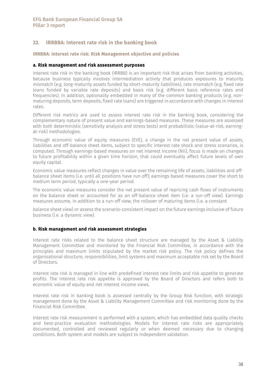### 32. IRRBBA: Interest rate risk in the banking book

#### IRRBBA: Interest rate risk: Risk Management objective and policies

#### a. Risk management and risk assessment purposes

Interest rate risk in the banking book (IRRBB) is an important risk that arises from banking activities, because business typically involves intermediation activity that produces exposures to maturity mismatch (e.g. long-maturity assets funded by short-maturity liabilities), rate mismatch (e.g. fixed rate loans funded by variable rate deposits) and basis risk (e.g. different basis reference rates and frequencies). In addition, optionality embedded in many of the common banking products (e.g. nonmaturing deposits, term deposits, fixed rate loans) are triggered in accordance with changes in interest rates.

Different risk metrics are used to assess interest rate risk in the banking book, considering the complementary nature of present value and earnings-based measures. These measures are assessed with both deterministic (sensitivity analysis and stress tests) and probabilistic (value-at-risk, earningat-risk) methodologies.

Through economic value of equity measures (EVE), a change in the net present value of assets, liabilities and off-balance sheet items, subject to specific interest rate shock and stress scenarios, is computed. Through earnings-based measures on net interest income (NII), focus is made on changes to future profitability within a given time horizon, that could eventually affect future levels of own equity capital.

Economic value measures reflect changes in value over the remaining life of assets, liabilities and offbalance sheet items (i.e. until all positions have run off); earnings-based measures cover the short to medium term period, typically a one-year period.

The economic value measures consider the net present value of repricing cash flows of instruments on the balance sheet or accounted for as an off-balance sheet item (i.e. a run-off view). Earnings measures assume, in addition to a run-off view, the rollover of maturing items (i.e. a constant

balance sheet view) or assess the scenario-consistent impact on the future earnings inclusive of future business (i.e. a dynamic view).

#### b. Risk management and risk assessment strategies

Interest rate risks related to the balance sheet structure are managed by the Asset & Liability Management Committee and monitored by the Financial Risk Committee, in accordance with the principles and maximum limits stipulated by the market risk policy. The risk policy defines the organisational structure, responsibilities, limit systems and maximum acceptable risk set by the Board of Directors.

Interest rate risk is managed in line with predefined interest rate limits and risk appetite to generate profits. The interest rate risk appetite is approved by the Board of Directors and refers both to economic value of equity and net interest income views.

Interest rate risk in banking book is assessed centrally by the Group Risk function, with strategic management done by the Asset & Liability Management Committee and risk monitoring done by the Financial Risk Committee.

Interest rate risk measurement is performed with a system, which has embedded data quality checks and best-practice evaluation methodologies. Models for interest rate risks are appropriately documented, controlled and reviewed regularly or when deemed necessary due to changing conditions. Both system and models are subject to independent validation.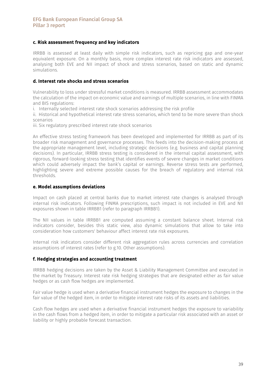#### c. Risk assessment frequency and key indicators

IRRBB is assessed at least daily with simple risk indicators, such as repricing gap and one-year equivalent exposure. On a monthly basis, more complex interest rate risk indicators are assessed, analysing both EVE and NII impact of shock and stress scenarios, based on static and dynamic simulations.

#### d. Interest rate shocks and stress scenarios

Vulnerability to loss under stressful market conditions is measured. IRRBB assessment accommodates the calculation of the impact on economic value and earnings of multiple scenarios, in line with FINMA and BIS regulations:

i. Internally selected interest rate shock scenarios addressing the risk profile

ii. Historical and hypothetical interest rate stress scenarios, which tend to be more severe than shock scenarios

iii. Six regulatory prescribed interest rate shock scenarios

An effective stress testing framework has been developed and implemented for IRRBB as part of its broader risk management and governance processes. This feeds into the decision-making process at the appropriate management level, including strategic decisions (e.g. business and capital planning decisions). In particular, IRRBB stress testing is considered in the internal capital assessment, with rigorous, forward-looking stress testing that identifies events of severe changes in market conditions which could adversely impact the bank's capital or earnings. Reverse stress tests are performed, highlighting severe and extreme possible causes for the breach of regulatory and internal risk thresholds.

#### e. Model assumptions deviations

Impact on cash placed at central banks due to market interest rate changes is analysed through internal risk indicators. Following FINMA prescriptions, such impact is not included in EVE and NII exposures shown in table IRRBB1 (refer to paragraph IRRBB1).

The NII values in table IRRBB1 are computed assuming a constant balance sheet. Internal risk indicators consider, besides this static view, also dynamic simulations that allow to take into consideration how customers' behaviour affect interest rate risk exposures.

Internal risk indicators consider different risk aggregation rules across currencies and correlation assumptions of interest rates (refer to g.10. Other assumptions).

#### f. Hedging strategies and accounting treatment

IRRBB hedging decisions are taken by the Asset & Liability Management Committee and executed in the market by Treasury. Interest rate risk hedging strategies that are designated either as fair value hedges or as cash flow hedges are implemented.

Fair value hedge is used when a derivative financial instrument hedges the exposure to changes in the fair value of the hedged item, in order to mitigate interest rate risks of its assets and liabilities.

Cash flow hedges are used when a derivative financial instrument hedges the exposure to variability in the cash flows from a hedged item, in order to mitigate a particular risk associated with an asset or liability or highly probable forecast transaction.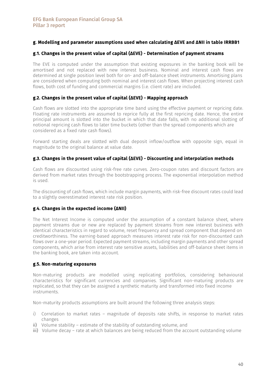### g. Modelling and parameter assumptions used when calculating ΔEVE and ΔNII in table IRRBB1

#### g.1. Changes in the present value of capital (ΔEVE) - Determination of payment streams

The EVE is computed under the assumption that existing exposures in the banking book will be amortised and not replaced with new interest business. Nominal and interest cash flows are determined at single position level both for on- and off-balance sheet instruments. Amortising plans are considered when computing both nominal and interest cash flows. When projecting interest cash flows, both cost of funding and commercial margins (i.e. client rate) are included.

#### g.2. Changes in the present value of capital (ΔEVE) - Mapping approach

Cash flows are slotted into the appropriate time band using the effective payment or repricing date. Floating rate instruments are assumed to reprice fully at the first repricing date. Hence, the entire principal amount is slotted into the bucket in which that date falls, with no additional slotting of notional repricing cash flows to later time buckets (other than the spread components which are considered as a fixed rate cash flows).

Forward starting deals are slotted with dual deposit inflow/outflow with opposite sign, equal in magnitude to the original balance at value date.

#### g.3. Changes in the present value of capital (ΔEVE) - Discounting and interpolation methods

Cash flows are discounted using risk-free rate curves. Zero-coupon rates and discount factors are derived from market rates through the bootstrapping process. The exponential interpolation method is used.

The discounting of cash flows, which include margin payments, with risk-free discount rates could lead to a slightly overestimated interest rate risk position.

#### g.4. Changes in the expected income (ΔNII)

The Net Interest Income is computed under the assumption of a constant balance sheet, where payment streams due or new are replaced by payment streams from new interest business with identical characteristics in regard to volume, reset frequency and spread component that depend on creditworthiness. The earning-based approach measures interest rate risk for non-discounted cash flows over a one-year period. Expected payment streams, including margin payments and other spread components, which arise from interest rate sensitive assets, liabilities and off-balance sheet items in the banking book, are taken into account.

#### g.5. Non-maturing exposures

Non-maturing products are modelled using replicating portfolios, considering behavioural characteristics for significant currencies and companies. Significant non-maturing products are replicated, so that they can be assigned a synthetic maturity and transformed into fixed income instruments.

Non-maturity products assumptions are built around the following three analysis steps:

- i) Correlation to market rates magnitude of deposits rate shifts, in response to market rates changes
- ii) Volume stability estimate of the stability of outstanding volume, and
- iii) Volume decay rate at which balances are being reduced from the account outstanding volume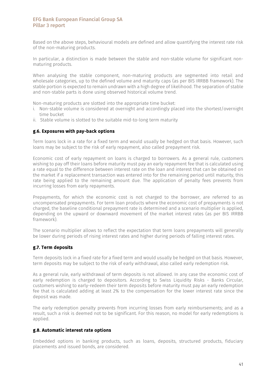Based on the above steps, behavioural models are defined and allow quantifying the interest rate risk of the non-maturing products.

In particular, a distinction is made between the stable and non-stable volume for significant nonmaturing products.

When analysing the stable component, non-maturing products are segmented into retail and wholesale categories, up to the defined volume and maturity caps (as per BIS IRRBB framework). The stable portion is expected to remain undrawn with a high degree of likelihood. The separation of stable and non-stable parts is done using observed historical volume trend.

Non-maturing products are slotted into the appropriate time bucket:

- i. Non-stable volume is considered at overnight and accordingly placed into the shortest/overnight time bucket
- ii. Stable volume is slotted to the suitable mid-to-long term maturity

#### g.6. Exposures with pay-back options

Term loans lock in a rate for a fixed term and would usually be hedged on that basis. However, such loans may be subject to the risk of early repayment, also called prepayment risk.

Economic cost of early repayment on loans is charged to borrowers. As a general rule, customers wishing to pay off their loans before maturity must pay an early repayment fee that is calculated using a rate equal to the difference between interest rate on the loan and interest that can be obtained on the market if a replacement transaction was entered into for the remaining period until maturity, this rate being applied to the remaining amount due. The application of penalty fees prevents from incurring losses from early repayments.

Prepayments, for which the economic cost is not charged to the borrower, are referred to as uncompensated prepayments. For term loan products where the economic cost of prepayments is not charged, the baseline conditional prepayment rate is determined and a scenario multiplier is applied, depending on the upward or downward movement of the market interest rates (as per BIS IRRBB framework).

The scenario multiplier allows to reflect the expectation that term loans prepayments will generally be lower during periods of rising interest rates and higher during periods of falling interest rates.

#### g.7. Term deposits

Term deposits lock in a fixed rate for a fixed term and would usually be hedged on that basis. However, term deposits may be subject to the risk of early withdrawal, also called early redemption risk.

As a general rule, early withdrawal of term deposits is not allowed. In any case the economic cost of early redemption is charged to depositors. According to Swiss Liquidity Risks - Banks Circular, customers wishing to early-redeem their term deposits before maturity must pay an early redemption fee that is calculated adding at least 2% to the compensation for the lower interest rate since the deposit was made.

The early redemption penalty prevents from incurring losses from early reimbursements; and as a result, such a risk is deemed not to be significant. For this reason, no model for early redemptions is applied.

### g.8. Automatic interest rate options

Embedded options in banking products, such as loans, deposits, structured products, fiduciary placements and issued bonds, are considered.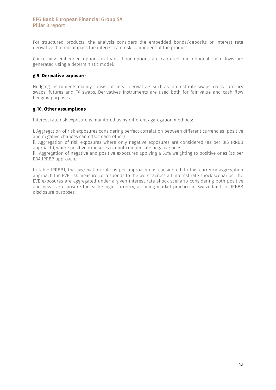For structured products, the analysis considers the embedded bonds/deposits or interest rate derivative that encompass the interest rate risk component of the product.

Concerning embedded options in loans, floor options are captured and optional cash flows are generated using a deterministic model.

### g.9. Derivative exposure

Hedging instruments mainly consist of linear derivatives such as interest rate swaps, cross currency swaps, futures and FX swaps. Derivatives instruments are used both for fair value and cash flow hedging purposes.

#### g.10. Other assumptions

Interest rate risk exposure is monitored using different aggregation methods:

i. Aggregation of risk exposures considering perfect correlation between different currencies (positive and negative changes can offset each other)

ii. Aggregation of risk exposures where only negative exposures are considered (as per BIS IRRBB approach), where positive exposures cannot compensate negative ones

iii. Aggregation of negative and positive exposures applying a 50% weighting to positive ones (as per EBA IRRBB approach).

In table IRRBB1, the aggregation rule as per approach i. is considered. In this currency aggregation approach the EVE risk measure corresponds to the worst across all interest rate shock scenarios. The EVE exposures are aggregated under a given interest rate shock scenario considering both positive and negative exposure for each single currency, as being market practice in Switzerland for IRRBB disclosure purposes.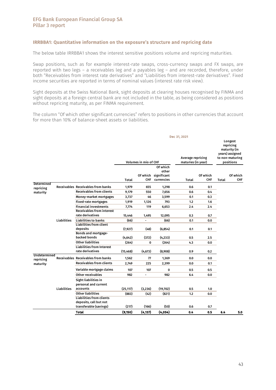#### IRRBBA1: Quantitative information on the exposure's structure and repricing date

The below table IRRBBA1 shows the interest sensitive positions volume and repricing maturities.

Swap positions, such as for example interest-rate swaps, cross-currency swaps and FX swaps, are reported with two legs – a receivables leg and a payables leg – and are recorded, therefore, under both "Receivables from interest rate derivatives" and "Liabilities from interest-rate derivatives". Fixed income securities are reported in terms of nominal values (interest rate risk view).

Sight deposits at the Swiss National Bank, sight deposits at clearing houses recognised by FINMA and sight deposits at a foreign central bank are not included in the table, as being considered as positions without repricing maturity, as per FINMA requirement.

The column "Of which other significant currencies" refers to positions in other currencies that account for more than 10% of balance-sheet assets or liabilities.

|                                |                    |                                              | Dec 31, 2021 |                              |             |              |                                         |              |                                                                                         |
|--------------------------------|--------------------|----------------------------------------------|--------------|------------------------------|-------------|--------------|-----------------------------------------|--------------|-----------------------------------------------------------------------------------------|
|                                |                    |                                              |              | <b>Volumes in mio of CHF</b> |             |              | Average repricing<br>maturies (in year) |              | Longest<br>repricing<br>maturity (in<br>years) assigned<br>to non-maturing<br>positions |
|                                |                    |                                              |              |                              | Of which    |              |                                         |              |                                                                                         |
|                                |                    |                                              |              |                              | other       |              |                                         |              |                                                                                         |
|                                |                    |                                              |              | Of which                     | significant |              | Of which                                |              | Of which                                                                                |
|                                |                    |                                              | <b>Total</b> | <b>CHF</b>                   | currencies  | <b>Total</b> | <b>CHF</b>                              | <b>Total</b> | <b>CHF</b>                                                                              |
| <b>Determined</b><br>repricing |                    | Receivables Receivables from banks           | 1,979        | 655                          | 1,298       | 0.6          | 0.1                                     |              |                                                                                         |
| maturity                       |                    | <b>Receivables from clients</b>              | 9,179        | 550                          | 7,656       | 0.6          | 0.4                                     |              |                                                                                         |
|                                |                    | Money-market mortgages                       | 3,737        | 46                           | 3,599       | 0.1          | 0.3                                     |              |                                                                                         |
|                                |                    | Fixed-rate mortgages                         | 1,919        | 1,126                        | 793         | 1.2          | 1.6                                     |              |                                                                                         |
|                                |                    | <b>Financial investments</b>                 | 7,774        | 119                          | 6,653       | 2.4          | 2.4                                     |              |                                                                                         |
|                                |                    | <b>Receivables from interest</b>             |              |                              |             |              |                                         |              |                                                                                         |
|                                |                    | rate derivatives                             | 15,446       | 1,495                        | 12,095      | 0.3          | 0.7                                     |              |                                                                                         |
|                                | <b>Liabilities</b> | <b>Liabilities to banks</b>                  | (66)         | ÷.                           | (66)        | 0.1          | 0.0                                     |              |                                                                                         |
|                                |                    | <b>Liabilities from client</b>               |              |                              |             |              |                                         |              |                                                                                         |
|                                |                    | deposits                                     | (7, 927)     | (48)                         | (6,854)     | 0.1          | 0.1                                     |              |                                                                                         |
|                                |                    | <b>Bonds and mortgage-</b>                   |              |                              |             |              |                                         |              |                                                                                         |
|                                |                    | backed bonds                                 | (4, 642)     | (372)                        | (4, 233)    | 0.5          | 2.5                                     |              |                                                                                         |
|                                |                    | <b>Other liabilities</b>                     | (264)        | 0                            | (264)       | 4.3          | 0.0                                     |              |                                                                                         |
|                                |                    | <b>Liabilities from Interest</b>             |              |                              |             |              |                                         |              |                                                                                         |
| Undetermined                   |                    | rate derivatives                             | (15, 468)    | (4, 673)                     | (8,908)     | 0.9          | 0.2                                     |              |                                                                                         |
| repricing                      |                    | <b>Receivables Receivables from banks</b>    | 1,562        | 77                           | 1,369       | 0.0          | 0.0                                     |              |                                                                                         |
| maturity                       |                    | <b>Receivables from clients</b>              | 2,749        | 225                          | 2,399       | 0.0          | 0.1                                     |              |                                                                                         |
|                                |                    | Variable mortgage claims                     | 107          | 107                          | 0           | 0.5          | 0.5                                     |              |                                                                                         |
|                                |                    | Other receivables                            | 982          | $\overline{\phantom{0}}$     | 982         | 6.4          | 0.0                                     |              |                                                                                         |
|                                |                    | Sight liabilities in<br>personal and current |              |                              |             |              |                                         |              |                                                                                         |
|                                | <b>Liabilities</b> | accounts                                     | (25, 117)    | (3,236)                      | (19,702)    | 0.5          | 1.0                                     |              |                                                                                         |
|                                |                    | <b>Other liabilities</b>                     | (883)        | (42)                         | (821)       | 1.2          | 0.0                                     |              |                                                                                         |
|                                |                    | <b>Liabilities from clients</b>              |              |                              |             |              |                                         |              |                                                                                         |
|                                |                    | deposits, call but not                       |              |                              |             |              |                                         |              |                                                                                         |
|                                |                    | transferable (savings)                       | (217)        | (166)                        | (50)        | 0.6          | 0.7                                     |              |                                                                                         |
|                                |                    | <b>Total</b>                                 | (9, 150)     | (4, 137)                     | (4,054)     | 0.4          | 0.5                                     | 6.4          | 5.0                                                                                     |
|                                |                    |                                              |              |                              |             |              |                                         |              |                                                                                         |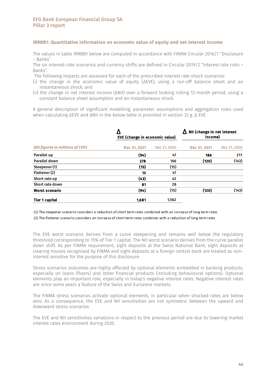#### IRRBB1: Quantitative information on economic value of equity and net interest income

The values in table IRRBB1 below are computed in accordance with FINMA Circular 2016/1 "Disclosure – Banks".

The six interest-rate scenarios and currency shifts are defined in Circular 2019/2 "Interest rate risks – Banks".

The following impacts are assessed for each of the prescribed interest rate shock scenarios:

- (i) the change in the economic value of equity (ΔEVE), using a run-off balance sheet and an instantaneous shock; and
- (ii) the change in net interest income (ΔNII) over a forward looking rolling 12-month period, using a constant balance sheet assumption and an instantaneous shock.

A general description of significant modelling, parameter assumptions and aggregation rules used when calculating ΔEVE and ΔNII in the below table is provided in section 33 g. Δ EVE

| (All figures in millions of CHF) | EVE (change in economic value) |              | NII (change in net interest<br>Λ<br>income) |              |  |
|----------------------------------|--------------------------------|--------------|---------------------------------------------|--------------|--|
|                                  | Dec 31, 2021                   | Dec 31, 2020 | Dec 31, 2021                                | Dec 31, 2020 |  |
| Parallel up                      | (94)                           | 47           | 186                                         | 211          |  |
| Parallel down                    | 278                            | 166          | (120)                                       | (143)        |  |
| Steepener (1)                    | (15)                           | (15)         |                                             |              |  |
| Flattener (2)                    | 13                             | 47           |                                             |              |  |
| Short rate up                    | (43)                           | 42           |                                             |              |  |
| Short rate down                  | 81                             | 28           |                                             |              |  |
| <b>Worst scenario</b>            | (94)                           | (15)         | (120)                                       | (143)        |  |
| Tier 1 capital                   | 1.681                          | 1,562        |                                             |              |  |

(1) The steepener scenario considers a reduction of short term rates combined with an increase of long term rates

(2) The flattener scenario considers an increase of short term rates combines with a reduction of long term rates

The EVE worst scenario derives from a curve steepening and remains well below the regulatory threshold corresponding to 15% of Tier 1 capital. The NII worst scenario derives from the curve parallel down shift. As per FINMA requirement, sight deposits at the Swiss National Bank, sight deposits at clearing houses recognised by FINMA and sight deposits at a foreign central bank are treated as noninterest sensitive for the purpose of this disclosure.

Stress scenarios outcomes are highly affected by optional elements embedded in banking products, especially on loans (floors) and other financial products (including behavioural options). Optional elements play an important role, especially in today's negative interest rates. Negative interest rates are since some years a feature of the Swiss and Eurozone markets.

The FINMA stress scenarios activate optional elements, in particular when shocked rates are below zero. As a consequence, the EVE and NII sensitivities are not symmetric between the upward and downward stress scenarios.

The EVE and NII sensitivities variations in respect to the previous period are due to lowering market interest rates environment during 2020.